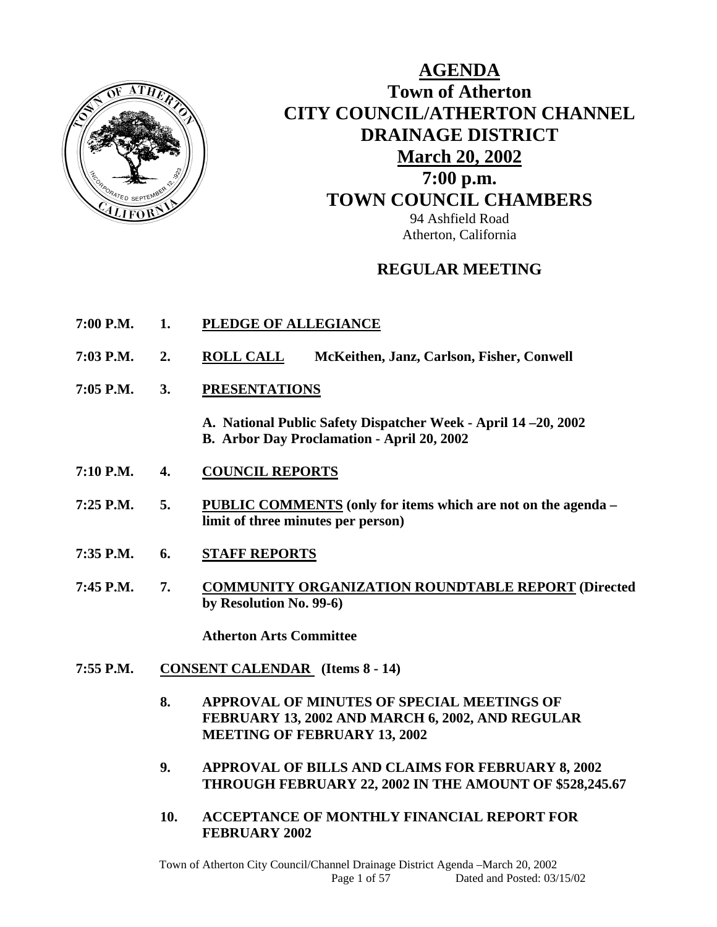

# **AGENDA Town of Atherton CITY COUNCIL/ATHERTON CHANNEL DRAINAGE DISTRICT March 20, 2002 7:00 p.m. TOWN COUNCIL CHAMBERS** 94 Ashfield Road Atherton, California

# **REGULAR MEETING**

- **7:00 P.M. 1. PLEDGE OF ALLEGIANCE**
- **7:03 P.M. 2. ROLL CALL McKeithen, Janz, Carlson, Fisher, Conwell**
- **7:05 P.M. 3. PRESENTATIONS**
	- **A. National Public Safety Dispatcher Week April 14 –20, 2002 B. Arbor Day Proclamation - April 20, 2002**
- **7:10 P.M. 4. COUNCIL REPORTS**
- **7:25 P.M. 5. PUBLIC COMMENTS (only for items which are not on the agenda limit of three minutes per person)**
- **7:35 P.M. 6. STAFF REPORTS**
- **7:45 P.M. 7. COMMUNITY ORGANIZATION ROUNDTABLE REPORT (Directed by Resolution No. 99-6)**

 **Atherton Arts Committee** 

- **7:55 P.M. CONSENT CALENDAR (Items 8 14)** 
	- **8. APPROVAL OF MINUTES OF SPECIAL MEETINGS OF FEBRUARY 13, 2002 AND MARCH 6, 2002, AND REGULAR MEETING OF FEBRUARY 13, 2002**
	- **9. APPROVAL OF BILLS AND CLAIMS FOR FEBRUARY 8, 2002 THROUGH FEBRUARY 22, 2002 IN THE AMOUNT OF \$528,245.67**
	- **10. ACCEPTANCE OF MONTHLY FINANCIAL REPORT FOR FEBRUARY 2002**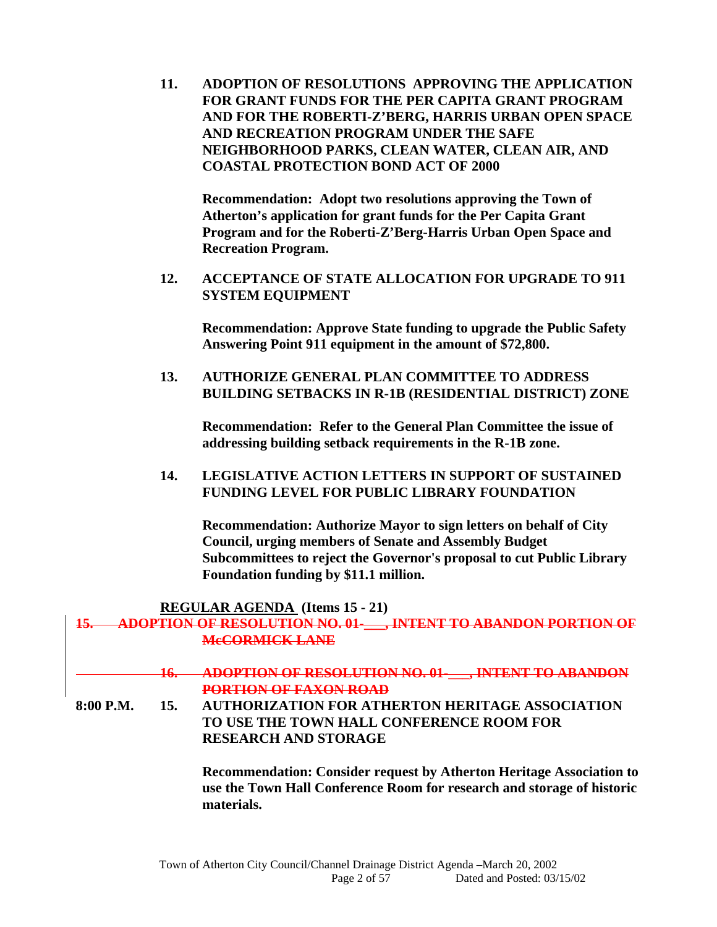**11. ADOPTION OF RESOLUTIONS APPROVING THE APPLICATION FOR GRANT FUNDS FOR THE PER CAPITA GRANT PROGRAM AND FOR THE ROBERTI-Z'BERG, HARRIS URBAN OPEN SPACE AND RECREATION PROGRAM UNDER THE SAFE NEIGHBORHOOD PARKS, CLEAN WATER, CLEAN AIR, AND COASTAL PROTECTION BOND ACT OF 2000** 

 **Recommendation: Adopt two resolutions approving the Town of Atherton's application for grant funds for the Per Capita Grant Program and for the Roberti-Z'Berg-Harris Urban Open Space and Recreation Program.** 

**12. ACCEPTANCE OF STATE ALLOCATION FOR UPGRADE TO 911 SYSTEM EQUIPMENT** 

 **Recommendation: Approve State funding to upgrade the Public Safety Answering Point 911 equipment in the amount of \$72,800.** 

**13. AUTHORIZE GENERAL PLAN COMMITTEE TO ADDRESS BUILDING SETBACKS IN R-1B (RESIDENTIAL DISTRICT) ZONE** 

**Recommendation: Refer to the General Plan Committee the issue of addressing building setback requirements in the R-1B zone.** 

**14. LEGISLATIVE ACTION LETTERS IN SUPPORT OF SUSTAINED FUNDING LEVEL FOR PUBLIC LIBRARY FOUNDATION** 

**Recommendation: Authorize Mayor to sign letters on behalf of City Council, urging members of Senate and Assembly Budget Subcommittees to reject the Governor's proposal to cut Public Library Foundation funding by \$11.1 million.** 

 **REGULAR AGENDA (Items 15 - 21)** 

| A DODTION OF DESOLITION NO. 01<br>TILULI ILULUI ULTIVALLUI ILULTIVA TILULTI | <b>INTENT TO ARANDON POPTION OF</b> |
|-----------------------------------------------------------------------------|-------------------------------------|
| М.СОРМІСК І АНГ<br><b>ALLES CALL AND LESS A WITH THE VEHICLE</b>            |                                     |

**16. ADOPTION OF RESOLUTION NO. 01-\_\_\_, INTENT TO ABANDON PORTION OF FAXON ROAD**

**8:00 P.M. 15. AUTHORIZATION FOR ATHERTON HERITAGE ASSOCIATION TO USE THE TOWN HALL CONFERENCE ROOM FOR RESEARCH AND STORAGE** 

> **Recommendation: Consider request by Atherton Heritage Association to use the Town Hall Conference Room for research and storage of historic materials.**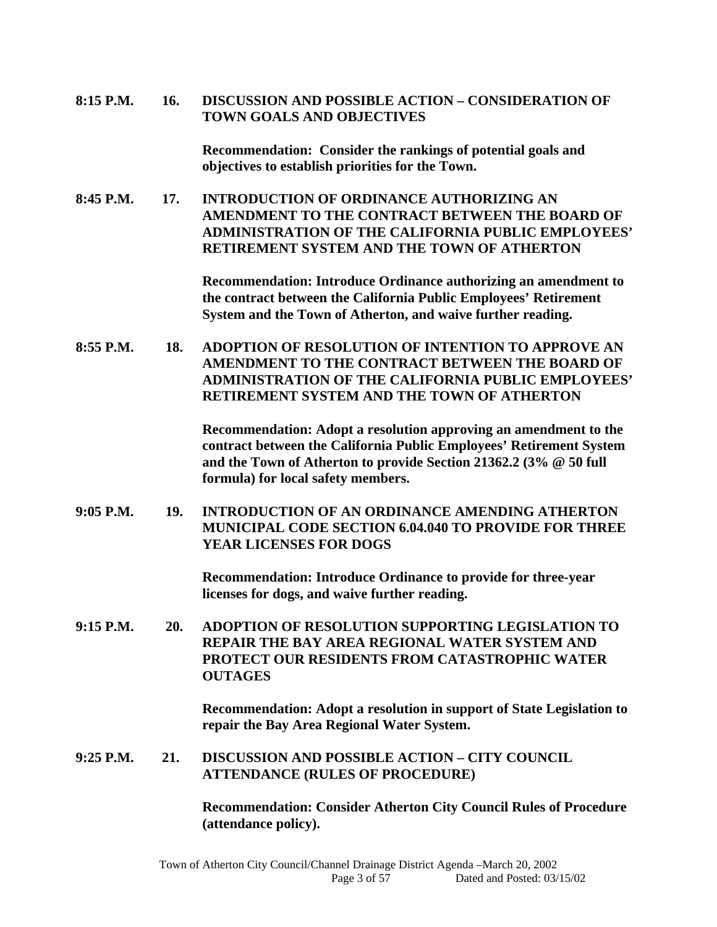#### **8:15 P.M. 16. DISCUSSION AND POSSIBLE ACTION – CONSIDERATION OF TOWN GOALS AND OBJECTIVES**

 **Recommendation: Consider the rankings of potential goals and objectives to establish priorities for the Town.** 

**8:45 P.M. 17. INTRODUCTION OF ORDINANCE AUTHORIZING AN AMENDMENT TO THE CONTRACT BETWEEN THE BOARD OF ADMINISTRATION OF THE CALIFORNIA PUBLIC EMPLOYEES' RETIREMENT SYSTEM AND THE TOWN OF ATHERTON** 

> **Recommendation: Introduce Ordinance authorizing an amendment to the contract between the California Public Employees' Retirement System and the Town of Atherton, and waive further reading.**

**8:55 P.M. 18. ADOPTION OF RESOLUTION OF INTENTION TO APPROVE AN AMENDMENT TO THE CONTRACT BETWEEN THE BOARD OF ADMINISTRATION OF THE CALIFORNIA PUBLIC EMPLOYEES' RETIREMENT SYSTEM AND THE TOWN OF ATHERTON** 

> **Recommendation: Adopt a resolution approving an amendment to the contract between the California Public Employees' Retirement System and the Town of Atherton to provide Section 21362.2 (3% @ 50 full formula) for local safety members.**

**9:05 P.M. 19. INTRODUCTION OF AN ORDINANCE AMENDING ATHERTON MUNICIPAL CODE SECTION 6.04.040 TO PROVIDE FOR THREE YEAR LICENSES FOR DOGS** 

> **Recommendation: Introduce Ordinance to provide for three-year licenses for dogs, and waive further reading.**

**9:15 P.M. 20. ADOPTION OF RESOLUTION SUPPORTING LEGISLATION TO REPAIR THE BAY AREA REGIONAL WATER SYSTEM AND PROTECT OUR RESIDENTS FROM CATASTROPHIC WATER OUTAGES** 

> **Recommendation: Adopt a resolution in support of State Legislation to repair the Bay Area Regional Water System.**

#### **9:25 P.M. 21. DISCUSSION AND POSSIBLE ACTION – CITY COUNCIL ATTENDANCE (RULES OF PROCEDURE)**

 **Recommendation: Consider Atherton City Council Rules of Procedure (attendance policy).**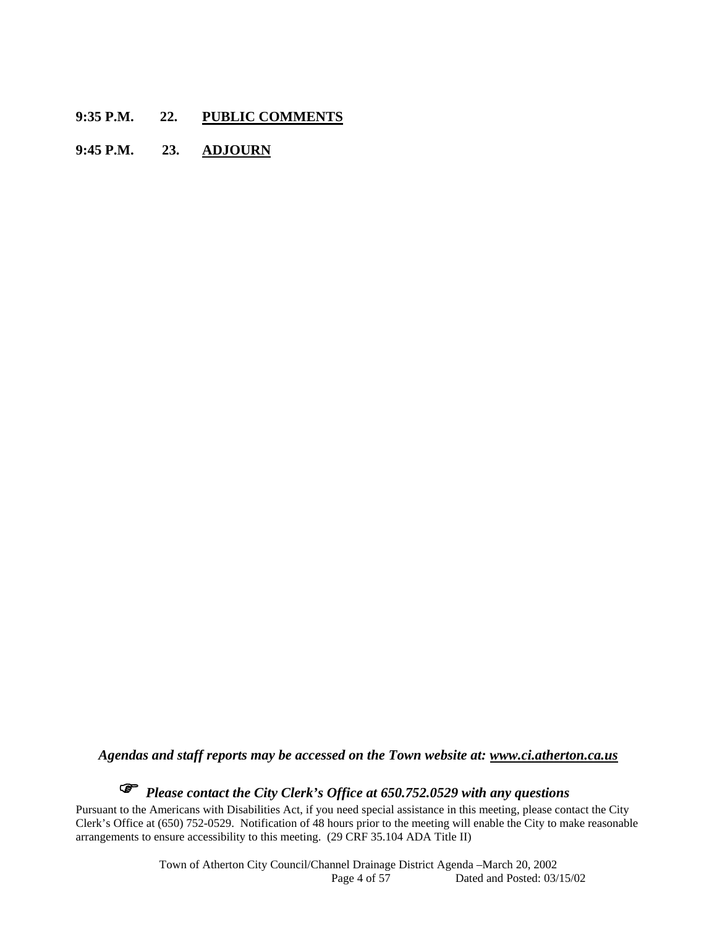- **9:35 P.M. 22. PUBLIC COMMENTS**
- **9:45 P.M. 23. ADJOURN**

*Agendas and staff reports may be accessed on the Town website at: www.ci.atherton.ca.us*

# *Please contact the City Clerk's Office at 650.752.0529 with any questions*

Pursuant to the Americans with Disabilities Act, if you need special assistance in this meeting, please contact the City Clerk's Office at (650) 752-0529. Notification of 48 hours prior to the meeting will enable the City to make reasonable arrangements to ensure accessibility to this meeting. (29 CRF 35.104 ADA Title II)

> Town of Atherton City Council/Channel Drainage District Agenda –March 20, 2002 Dated and Posted: 03/15/02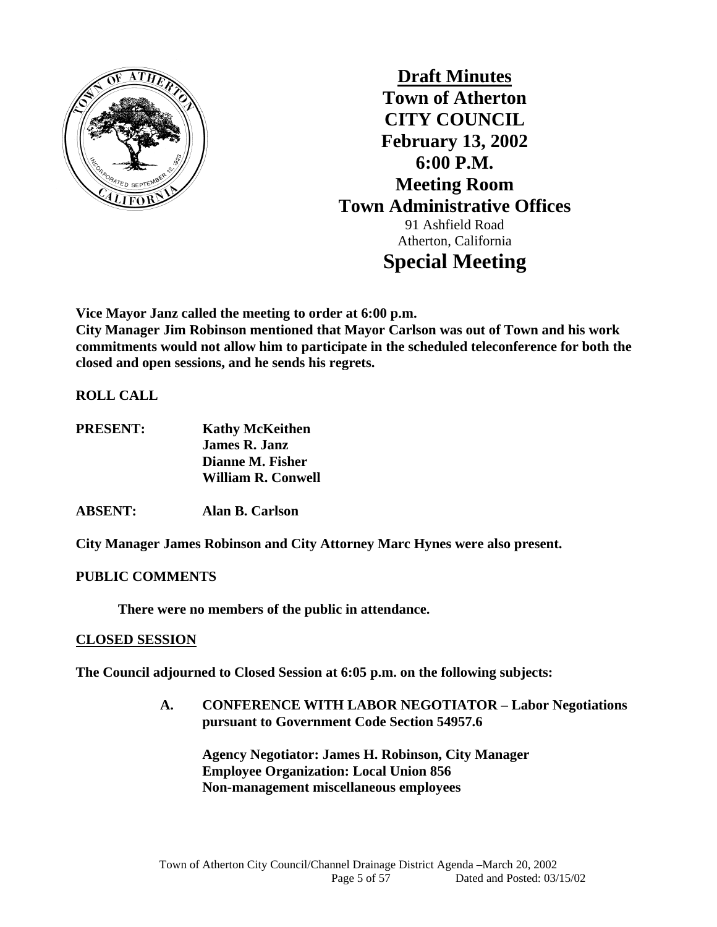

**Draft Minutes Town of Atherton CITY COUNCIL February 13, 2002 6:00 P.M. Meeting Room Town Administrative Offices**  91 Ashfield Road Atherton, California **Special Meeting** 

**Vice Mayor Janz called the meeting to order at 6:00 p.m.** 

**City Manager Jim Robinson mentioned that Mayor Carlson was out of Town and his work commitments would not allow him to participate in the scheduled teleconference for both the closed and open sessions, and he sends his regrets.** 

**ROLL CALL** 

**PRESENT: Kathy McKeithen James R. Janz Dianne M. Fisher William R. Conwell** 

**ABSENT: Alan B. Carlson** 

**City Manager James Robinson and City Attorney Marc Hynes were also present.** 

**PUBLIC COMMENTS** 

 **There were no members of the public in attendance.** 

## **CLOSED SESSION**

**The Council adjourned to Closed Session at 6:05 p.m. on the following subjects:** 

**A. CONFERENCE WITH LABOR NEGOTIATOR – Labor Negotiations pursuant to Government Code Section 54957.6** 

 **Agency Negotiator: James H. Robinson, City Manager Employee Organization: Local Union 856 Non-management miscellaneous employees**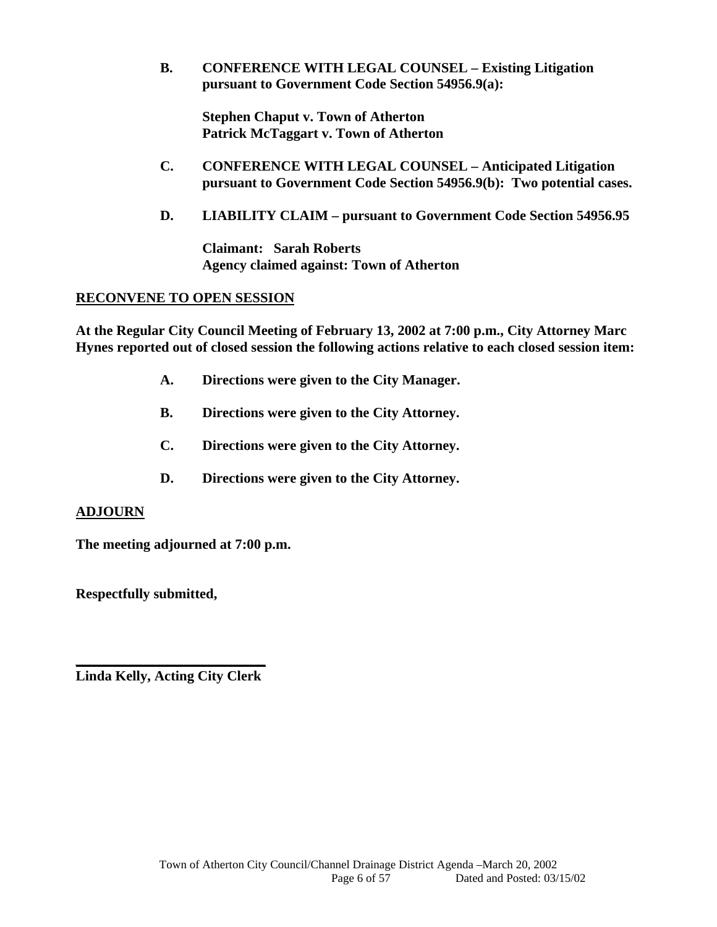**B. CONFERENCE WITH LEGAL COUNSEL – Existing Litigation pursuant to Government Code Section 54956.9(a):** 

 **Stephen Chaput v. Town of Atherton Patrick McTaggart v. Town of Atherton** 

- **C. CONFERENCE WITH LEGAL COUNSEL Anticipated Litigation pursuant to Government Code Section 54956.9(b): Two potential cases.**
- **D. LIABILITY CLAIM pursuant to Government Code Section 54956.95**

**Claimant: Sarah Roberts Agency claimed against: Town of Atherton** 

## **RECONVENE TO OPEN SESSION**

**At the Regular City Council Meeting of February 13, 2002 at 7:00 p.m., City Attorney Marc Hynes reported out of closed session the following actions relative to each closed session item:** 

- **A. Directions were given to the City Manager.**
- **B. Directions were given to the City Attorney.**
- **C. Directions were given to the City Attorney.**
- **D. Directions were given to the City Attorney.**

## **ADJOURN**

**The meeting adjourned at 7:00 p.m.** 

**Respectfully submitted,** 

**\_\_\_\_\_\_\_\_\_\_\_\_\_\_\_\_\_\_\_\_\_\_\_\_\_\_\_ Linda Kelly, Acting City Clerk**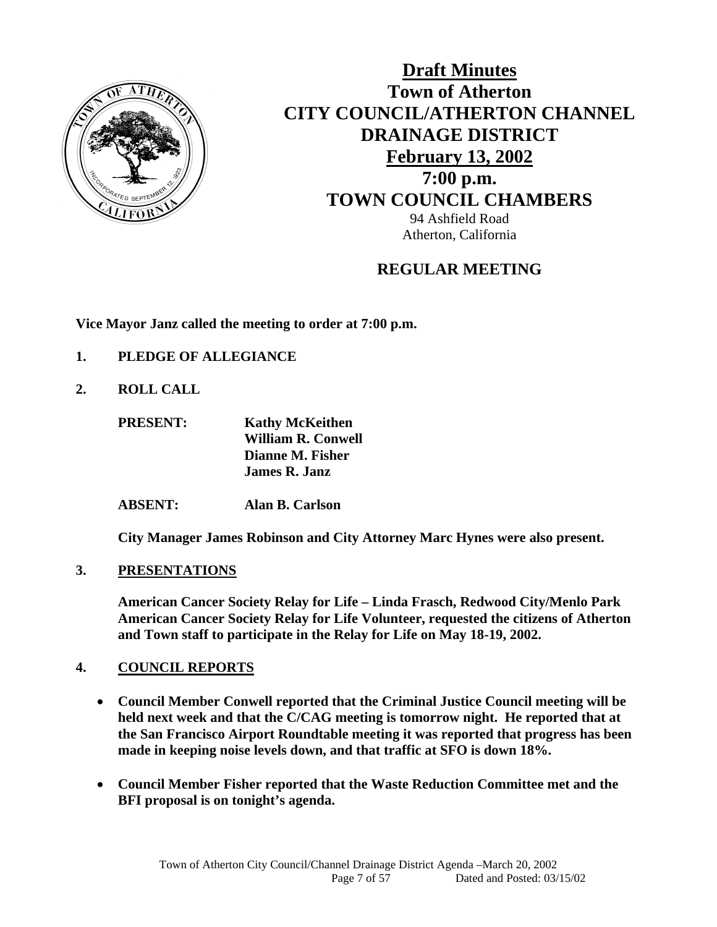

# **Draft Minutes Town of Atherton CITY COUNCIL/ATHERTON CHANNEL DRAINAGE DISTRICT February 13, 2002 7:00 p.m. TOWN COUNCIL CHAMBERS** 94 Ashfield Road Atherton, California

# **REGULAR MEETING**

**Vice Mayor Janz called the meeting to order at 7:00 p.m.** 

- **1. PLEDGE OF ALLEGIANCE**
- **2. ROLL CALL**

 **PRESENT: Kathy McKeithen William R. Conwell Dianne M. Fisher James R. Janz** 

 **ABSENT: Alan B. Carlson** 

 **City Manager James Robinson and City Attorney Marc Hynes were also present.** 

**3. PRESENTATIONS**

**American Cancer Society Relay for Life – Linda Frasch, Redwood City/Menlo Park American Cancer Society Relay for Life Volunteer, requested the citizens of Atherton and Town staff to participate in the Relay for Life on May 18-19, 2002.** 

## **4. COUNCIL REPORTS**

- **Council Member Conwell reported that the Criminal Justice Council meeting will be held next week and that the C/CAG meeting is tomorrow night. He reported that at the San Francisco Airport Roundtable meeting it was reported that progress has been made in keeping noise levels down, and that traffic at SFO is down 18%.**
- **Council Member Fisher reported that the Waste Reduction Committee met and the BFI proposal is on tonight's agenda.**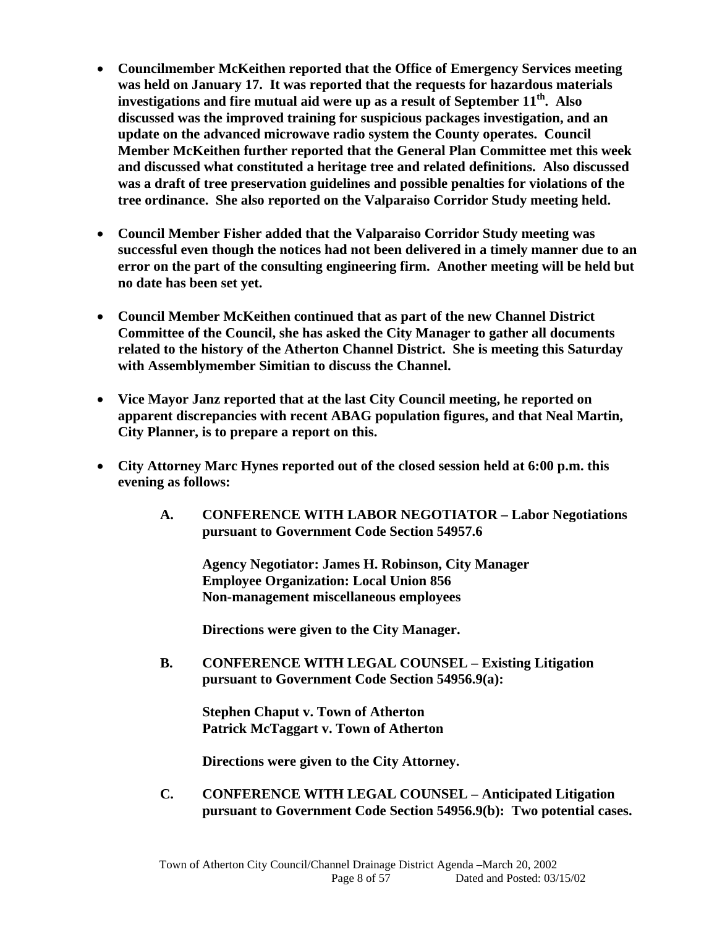- **Councilmember McKeithen reported that the Office of Emergency Services meeting was held on January 17. It was reported that the requests for hazardous materials investigations and fire mutual aid were up as a result of September 11th. Also discussed was the improved training for suspicious packages investigation, and an update on the advanced microwave radio system the County operates. Council Member McKeithen further reported that the General Plan Committee met this week and discussed what constituted a heritage tree and related definitions. Also discussed was a draft of tree preservation guidelines and possible penalties for violations of the tree ordinance. She also reported on the Valparaiso Corridor Study meeting held.**
- **Council Member Fisher added that the Valparaiso Corridor Study meeting was successful even though the notices had not been delivered in a timely manner due to an error on the part of the consulting engineering firm. Another meeting will be held but no date has been set yet.**
- **Council Member McKeithen continued that as part of the new Channel District Committee of the Council, she has asked the City Manager to gather all documents related to the history of the Atherton Channel District. She is meeting this Saturday with Assemblymember Simitian to discuss the Channel.**
- **Vice Mayor Janz reported that at the last City Council meeting, he reported on apparent discrepancies with recent ABAG population figures, and that Neal Martin, City Planner, is to prepare a report on this.**
- **City Attorney Marc Hynes reported out of the closed session held at 6:00 p.m. this evening as follows:** 
	- **A. CONFERENCE WITH LABOR NEGOTIATOR Labor Negotiations pursuant to Government Code Section 54957.6**

 **Agency Negotiator: James H. Robinson, City Manager Employee Organization: Local Union 856 Non-management miscellaneous employees** 

 **Directions were given to the City Manager.** 

**B. CONFERENCE WITH LEGAL COUNSEL – Existing Litigation pursuant to Government Code Section 54956.9(a):** 

 **Stephen Chaput v. Town of Atherton Patrick McTaggart v. Town of Atherton** 

 **Directions were given to the City Attorney.** 

 **C. CONFERENCE WITH LEGAL COUNSEL – Anticipated Litigation pursuant to Government Code Section 54956.9(b): Two potential cases.**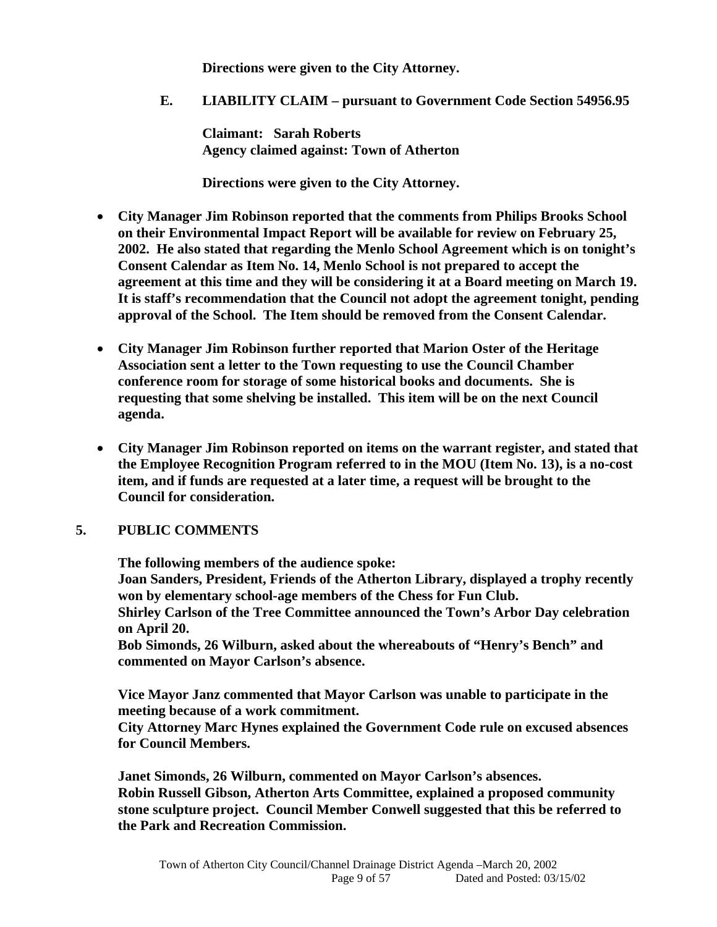**Directions were given to the City Attorney.** 

**E. LIABILITY CLAIM – pursuant to Government Code Section 54956.95** 

**Claimant: Sarah Roberts Agency claimed against: Town of Atherton** 

 **Directions were given to the City Attorney.** 

- **City Manager Jim Robinson reported that the comments from Philips Brooks School on their Environmental Impact Report will be available for review on February 25, 2002. He also stated that regarding the Menlo School Agreement which is on tonight's Consent Calendar as Item No. 14, Menlo School is not prepared to accept the agreement at this time and they will be considering it at a Board meeting on March 19. It is staff's recommendation that the Council not adopt the agreement tonight, pending approval of the School. The Item should be removed from the Consent Calendar.**
- **City Manager Jim Robinson further reported that Marion Oster of the Heritage Association sent a letter to the Town requesting to use the Council Chamber conference room for storage of some historical books and documents. She is requesting that some shelving be installed. This item will be on the next Council agenda.**
- **City Manager Jim Robinson reported on items on the warrant register, and stated that the Employee Recognition Program referred to in the MOU (Item No. 13), is a no-cost item, and if funds are requested at a later time, a request will be brought to the Council for consideration.**

## **5. PUBLIC COMMENTS**

 **The following members of the audience spoke:** 

**Joan Sanders, President, Friends of the Atherton Library, displayed a trophy recently won by elementary school-age members of the Chess for Fun Club.** 

**Shirley Carlson of the Tree Committee announced the Town's Arbor Day celebration on April 20.** 

**Bob Simonds, 26 Wilburn, asked about the whereabouts of "Henry's Bench" and commented on Mayor Carlson's absence.** 

 **Vice Mayor Janz commented that Mayor Carlson was unable to participate in the meeting because of a work commitment.** 

**City Attorney Marc Hynes explained the Government Code rule on excused absences for Council Members.** 

**Janet Simonds, 26 Wilburn, commented on Mayor Carlson's absences. Robin Russell Gibson, Atherton Arts Committee, explained a proposed community stone sculpture project. Council Member Conwell suggested that this be referred to the Park and Recreation Commission.**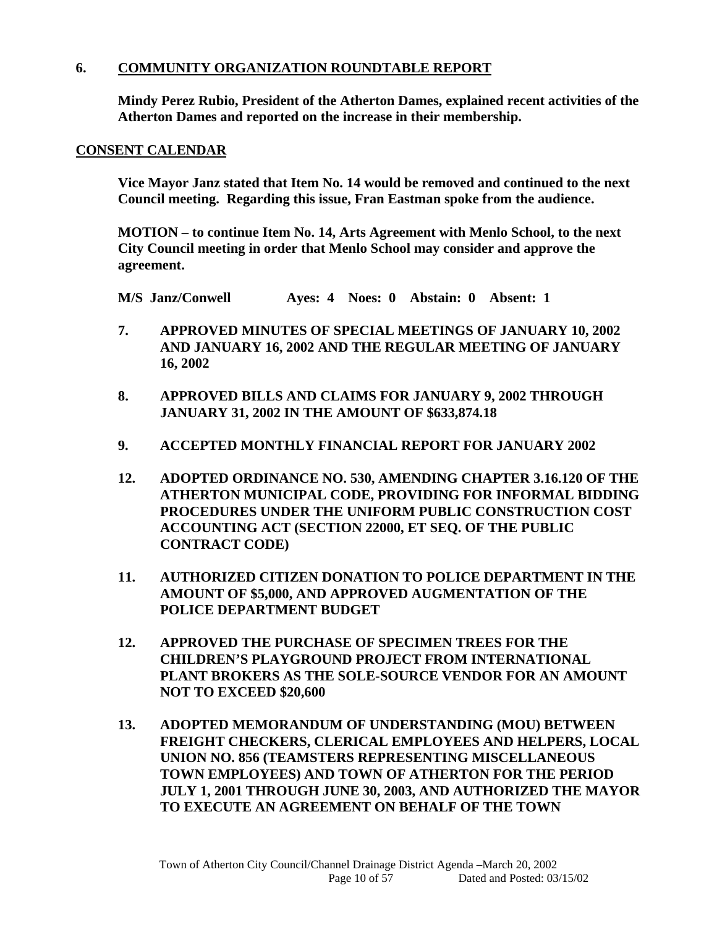## **6. COMMUNITY ORGANIZATION ROUNDTABLE REPORT**

**Mindy Perez Rubio, President of the Atherton Dames, explained recent activities of the Atherton Dames and reported on the increase in their membership.** 

#### **CONSENT CALENDAR**

**Vice Mayor Janz stated that Item No. 14 would be removed and continued to the next Council meeting. Regarding this issue, Fran Eastman spoke from the audience.** 

**MOTION – to continue Item No. 14, Arts Agreement with Menlo School, to the next City Council meeting in order that Menlo School may consider and approve the agreement.** 

**M/S Janz/Conwell Ayes: 4 Noes: 0 Abstain: 0 Absent: 1** 

- **7. APPROVED MINUTES OF SPECIAL MEETINGS OF JANUARY 10, 2002 AND JANUARY 16, 2002 AND THE REGULAR MEETING OF JANUARY 16, 2002**
- **8. APPROVED BILLS AND CLAIMS FOR JANUARY 9, 2002 THROUGH JANUARY 31, 2002 IN THE AMOUNT OF \$633,874.18**
- **9. ACCEPTED MONTHLY FINANCIAL REPORT FOR JANUARY 2002**
- **12. ADOPTED ORDINANCE NO. 530, AMENDING CHAPTER 3.16.120 OF THE ATHERTON MUNICIPAL CODE, PROVIDING FOR INFORMAL BIDDING PROCEDURES UNDER THE UNIFORM PUBLIC CONSTRUCTION COST ACCOUNTING ACT (SECTION 22000, ET SEQ. OF THE PUBLIC CONTRACT CODE)**
- **11. AUTHORIZED CITIZEN DONATION TO POLICE DEPARTMENT IN THE AMOUNT OF \$5,000, AND APPROVED AUGMENTATION OF THE POLICE DEPARTMENT BUDGET**
- **12. APPROVED THE PURCHASE OF SPECIMEN TREES FOR THE CHILDREN'S PLAYGROUND PROJECT FROM INTERNATIONAL PLANT BROKERS AS THE SOLE-SOURCE VENDOR FOR AN AMOUNT NOT TO EXCEED \$20,600**
- **13. ADOPTED MEMORANDUM OF UNDERSTANDING (MOU) BETWEEN FREIGHT CHECKERS, CLERICAL EMPLOYEES AND HELPERS, LOCAL UNION NO. 856 (TEAMSTERS REPRESENTING MISCELLANEOUS TOWN EMPLOYEES) AND TOWN OF ATHERTON FOR THE PERIOD JULY 1, 2001 THROUGH JUNE 30, 2003, AND AUTHORIZED THE MAYOR TO EXECUTE AN AGREEMENT ON BEHALF OF THE TOWN**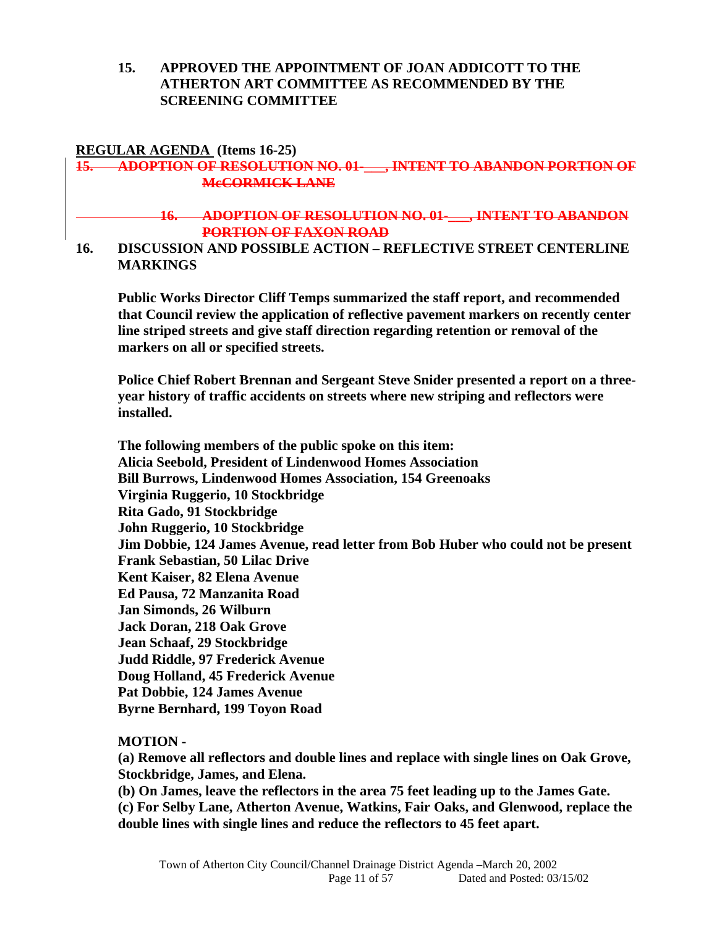## **15. APPROVED THE APPOINTMENT OF JOAN ADDICOTT TO THE ATHERTON ART COMMITTEE AS RECOMMENDED BY THE SCREENING COMMITTEE**

#### **REGULAR AGENDA (Items 16-25)**

## **15. ADOPTION OF RESOLUTION NO. 01-\_\_\_, INTENT TO ABANDON PORTION OF McCORMICK LANE**

#### **16. ADOPTION OF RESOLUTION NO. 01-\_\_\_, INTENT TO ABANDON PORTION OF FAXON ROAD**

#### **16. DISCUSSION AND POSSIBLE ACTION – REFLECTIVE STREET CENTERLINE MARKINGS**

**Public Works Director Cliff Temps summarized the staff report, and recommended that Council review the application of reflective pavement markers on recently center line striped streets and give staff direction regarding retention or removal of the markers on all or specified streets.** 

**Police Chief Robert Brennan and Sergeant Steve Snider presented a report on a threeyear history of traffic accidents on streets where new striping and reflectors were installed.** 

**The following members of the public spoke on this item: Alicia Seebold, President of Lindenwood Homes Association Bill Burrows, Lindenwood Homes Association, 154 Greenoaks Virginia Ruggerio, 10 Stockbridge Rita Gado, 91 Stockbridge John Ruggerio, 10 Stockbridge Jim Dobbie, 124 James Avenue, read letter from Bob Huber who could not be present Frank Sebastian, 50 Lilac Drive Kent Kaiser, 82 Elena Avenue Ed Pausa, 72 Manzanita Road Jan Simonds, 26 Wilburn Jack Doran, 218 Oak Grove Jean Schaaf, 29 Stockbridge Judd Riddle, 97 Frederick Avenue Doug Holland, 45 Frederick Avenue Pat Dobbie, 124 James Avenue Byrne Bernhard, 199 Toyon Road** 

#### **MOTION -**

**(a) Remove all reflectors and double lines and replace with single lines on Oak Grove, Stockbridge, James, and Elena.** 

**(b) On James, leave the reflectors in the area 75 feet leading up to the James Gate.** 

**(c) For Selby Lane, Atherton Avenue, Watkins, Fair Oaks, and Glenwood, replace the double lines with single lines and reduce the reflectors to 45 feet apart.**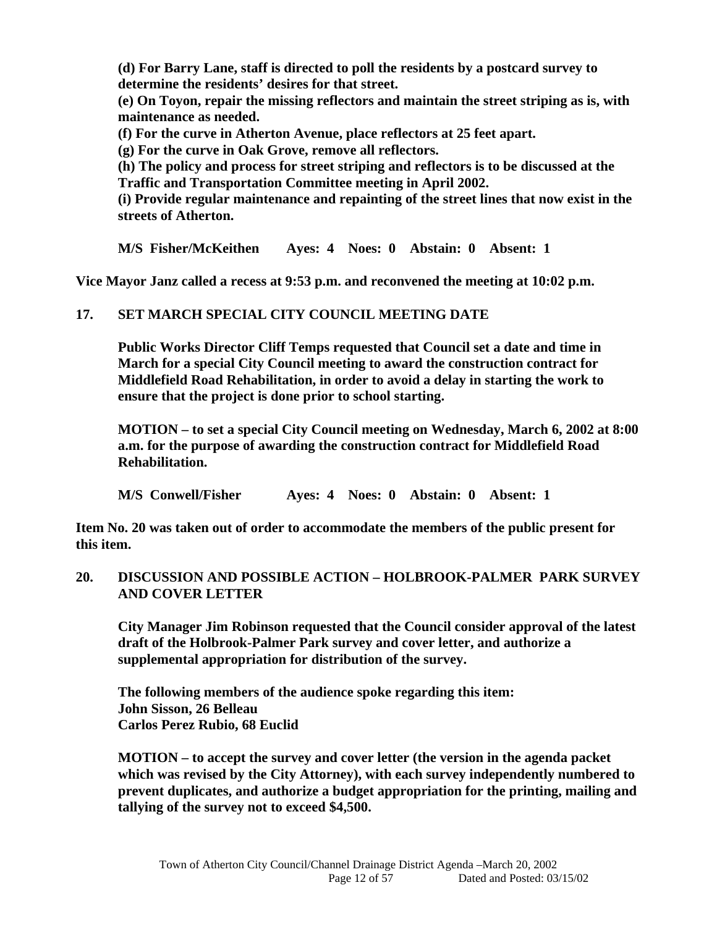**(d) For Barry Lane, staff is directed to poll the residents by a postcard survey to determine the residents' desires for that street.** 

**(e) On Toyon, repair the missing reflectors and maintain the street striping as is, with maintenance as needed.** 

**(f) For the curve in Atherton Avenue, place reflectors at 25 feet apart.** 

**(g) For the curve in Oak Grove, remove all reflectors.** 

**(h) The policy and process for street striping and reflectors is to be discussed at the Traffic and Transportation Committee meeting in April 2002.** 

**(i) Provide regular maintenance and repainting of the street lines that now exist in the streets of Atherton.** 

**M/S Fisher/McKeithen Ayes: 4 Noes: 0 Abstain: 0 Absent: 1** 

**Vice Mayor Janz called a recess at 9:53 p.m. and reconvened the meeting at 10:02 p.m.** 

## **17. SET MARCH SPECIAL CITY COUNCIL MEETING DATE**

**Public Works Director Cliff Temps requested that Council set a date and time in March for a special City Council meeting to award the construction contract for Middlefield Road Rehabilitation, in order to avoid a delay in starting the work to ensure that the project is done prior to school starting.** 

**MOTION – to set a special City Council meeting on Wednesday, March 6, 2002 at 8:00 a.m. for the purpose of awarding the construction contract for Middlefield Road Rehabilitation.** 

**M/S Conwell/Fisher Ayes: 4 Noes: 0 Abstain: 0 Absent: 1** 

**Item No. 20 was taken out of order to accommodate the members of the public present for this item.** 

## **20. DISCUSSION AND POSSIBLE ACTION – HOLBROOK-PALMER PARK SURVEY AND COVER LETTER**

**City Manager Jim Robinson requested that the Council consider approval of the latest draft of the Holbrook-Palmer Park survey and cover letter, and authorize a supplemental appropriation for distribution of the survey.** 

**The following members of the audience spoke regarding this item: John Sisson, 26 Belleau Carlos Perez Rubio, 68 Euclid** 

**MOTION – to accept the survey and cover letter (the version in the agenda packet which was revised by the City Attorney), with each survey independently numbered to prevent duplicates, and authorize a budget appropriation for the printing, mailing and tallying of the survey not to exceed \$4,500.**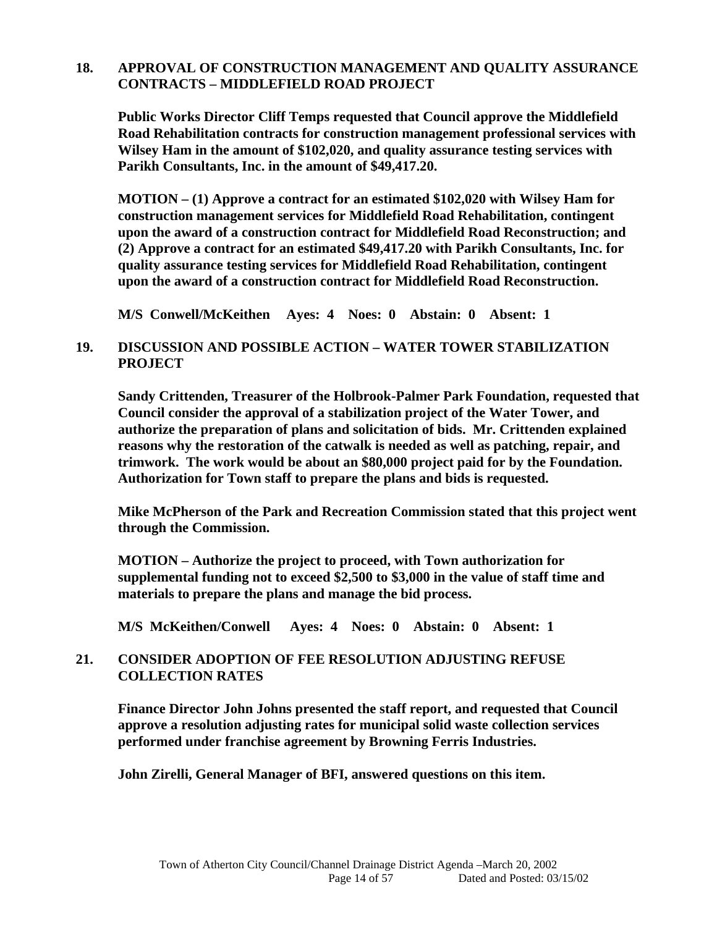## **18. APPROVAL OF CONSTRUCTION MANAGEMENT AND QUALITY ASSURANCE CONTRACTS – MIDDLEFIELD ROAD PROJECT**

**Public Works Director Cliff Temps requested that Council approve the Middlefield Road Rehabilitation contracts for construction management professional services with Wilsey Ham in the amount of \$102,020, and quality assurance testing services with Parikh Consultants, Inc. in the amount of \$49,417.20.** 

**MOTION – (1) Approve a contract for an estimated \$102,020 with Wilsey Ham for construction management services for Middlefield Road Rehabilitation, contingent upon the award of a construction contract for Middlefield Road Reconstruction; and (2) Approve a contract for an estimated \$49,417.20 with Parikh Consultants, Inc. for quality assurance testing services for Middlefield Road Rehabilitation, contingent upon the award of a construction contract for Middlefield Road Reconstruction.** 

**M/S Conwell/McKeithen Ayes: 4 Noes: 0 Abstain: 0 Absent: 1** 

## **19. DISCUSSION AND POSSIBLE ACTION – WATER TOWER STABILIZATION PROJECT**

 **Sandy Crittenden, Treasurer of the Holbrook-Palmer Park Foundation, requested that Council consider the approval of a stabilization project of the Water Tower, and authorize the preparation of plans and solicitation of bids. Mr. Crittenden explained reasons why the restoration of the catwalk is needed as well as patching, repair, and trimwork. The work would be about an \$80,000 project paid for by the Foundation. Authorization for Town staff to prepare the plans and bids is requested.** 

 **Mike McPherson of the Park and Recreation Commission stated that this project went through the Commission.** 

 **MOTION – Authorize the project to proceed, with Town authorization for supplemental funding not to exceed \$2,500 to \$3,000 in the value of staff time and materials to prepare the plans and manage the bid process.** 

**M/S McKeithen/Conwell Ayes: 4 Noes: 0 Abstain: 0 Absent: 1** 

## **21. CONSIDER ADOPTION OF FEE RESOLUTION ADJUSTING REFUSE COLLECTION RATES**

 **Finance Director John Johns presented the staff report, and requested that Council approve a resolution adjusting rates for municipal solid waste collection services performed under franchise agreement by Browning Ferris Industries.** 

 **John Zirelli, General Manager of BFI, answered questions on this item.**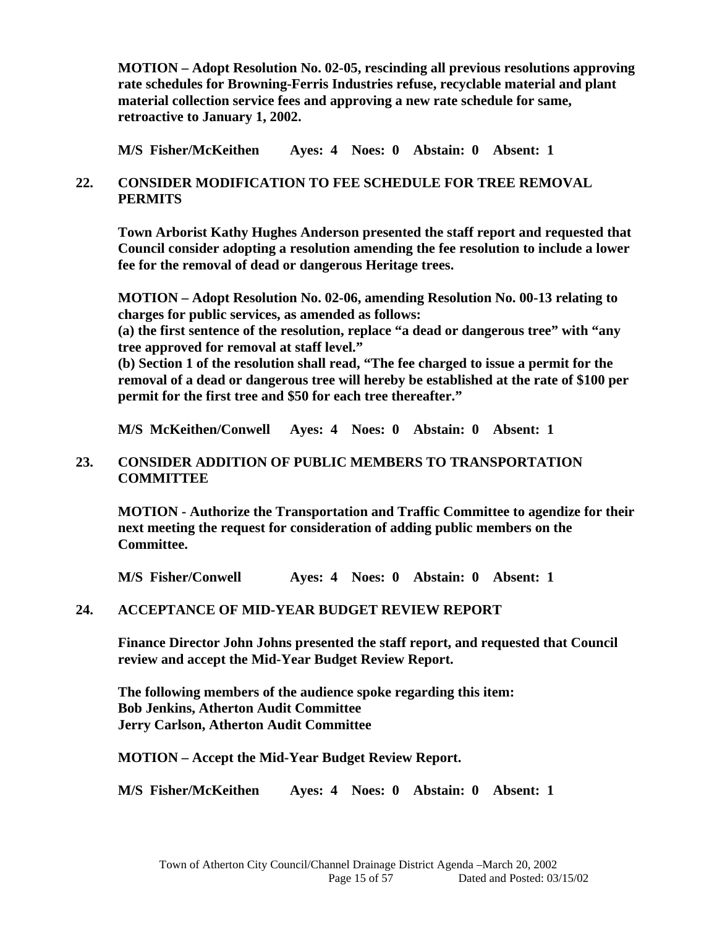**MOTION – Adopt Resolution No. 02-05, rescinding all previous resolutions approving rate schedules for Browning-Ferris Industries refuse, recyclable material and plant material collection service fees and approving a new rate schedule for same, retroactive to January 1, 2002.** 

**M/S Fisher/McKeithen Ayes: 4 Noes: 0 Abstain: 0 Absent: 1** 

## **22. CONSIDER MODIFICATION TO FEE SCHEDULE FOR TREE REMOVAL PERMITS**

 **Town Arborist Kathy Hughes Anderson presented the staff report and requested that Council consider adopting a resolution amending the fee resolution to include a lower fee for the removal of dead or dangerous Heritage trees.** 

 **MOTION – Adopt Resolution No. 02-06, amending Resolution No. 00-13 relating to charges for public services, as amended as follows:** 

 **(a) the first sentence of the resolution, replace "a dead or dangerous tree" with "any tree approved for removal at staff level."** 

 **(b) Section 1 of the resolution shall read, "The fee charged to issue a permit for the removal of a dead or dangerous tree will hereby be established at the rate of \$100 per permit for the first tree and \$50 for each tree thereafter."** 

**M/S McKeithen/Conwell Ayes: 4 Noes: 0 Abstain: 0 Absent: 1** 

#### **23. CONSIDER ADDITION OF PUBLIC MEMBERS TO TRANSPORTATION COMMITTEE**

 **MOTION - Authorize the Transportation and Traffic Committee to agendize for their next meeting the request for consideration of adding public members on the Committee.** 

**M/S Fisher/Conwell Ayes: 4 Noes: 0 Abstain: 0 Absent: 1** 

## **24. ACCEPTANCE OF MID-YEAR BUDGET REVIEW REPORT**

**Finance Director John Johns presented the staff report, and requested that Council review and accept the Mid-Year Budget Review Report.** 

**The following members of the audience spoke regarding this item: Bob Jenkins, Atherton Audit Committee Jerry Carlson, Atherton Audit Committee** 

**MOTION – Accept the Mid-Year Budget Review Report.** 

**M/S Fisher/McKeithen Ayes: 4 Noes: 0 Abstain: 0 Absent: 1**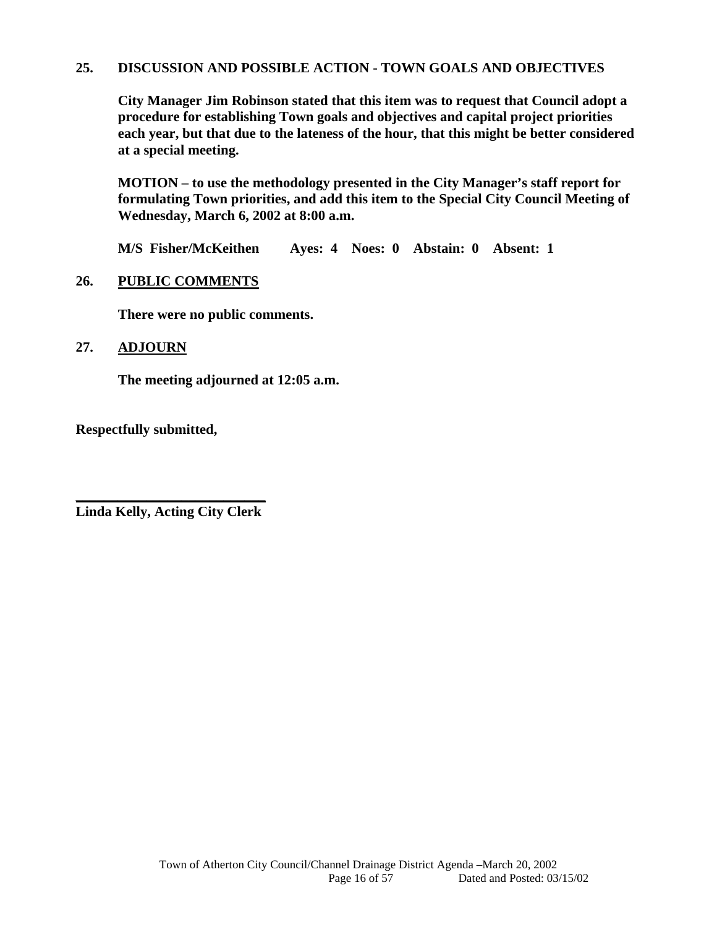#### **25. DISCUSSION AND POSSIBLE ACTION - TOWN GOALS AND OBJECTIVES**

 **City Manager Jim Robinson stated that this item was to request that Council adopt a procedure for establishing Town goals and objectives and capital project priorities each year, but that due to the lateness of the hour, that this might be better considered at a special meeting.** 

**MOTION – to use the methodology presented in the City Manager's staff report for formulating Town priorities, and add this item to the Special City Council Meeting of Wednesday, March 6, 2002 at 8:00 a.m.** 

**M/S Fisher/McKeithen Ayes: 4 Noes: 0 Abstain: 0 Absent: 1** 

#### **26. PUBLIC COMMENTS**

 **There were no public comments.** 

## **27. ADJOURN**

 **The meeting adjourned at 12:05 a.m.** 

**Respectfully submitted,** 

**\_\_\_\_\_\_\_\_\_\_\_\_\_\_\_\_\_\_\_\_\_\_\_\_\_\_\_ Linda Kelly, Acting City Clerk**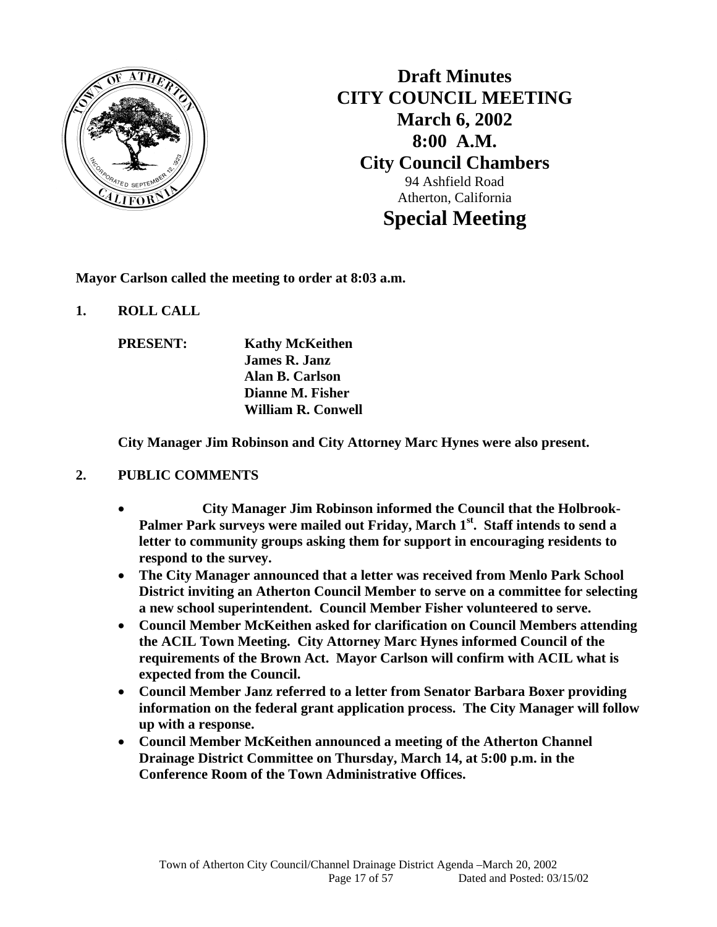

**Draft Minutes CITY COUNCIL MEETING March 6, 2002 8:00 A.M. City Council Chambers**  94 Ashfield Road Atherton, California **Special Meeting** 

**Mayor Carlson called the meeting to order at 8:03 a.m.** 

**1. ROLL CALL** 

 **PRESENT: Kathy McKeithen James R. Janz Alan B. Carlson Dianne M. Fisher William R. Conwell** 

 **City Manager Jim Robinson and City Attorney Marc Hynes were also present.** 

## **2. PUBLIC COMMENTS**

- **City Manager Jim Robinson informed the Council that the Holbrook-**Palmer Park surveys were mailed out Friday, March 1<sup>st</sup>. Staff intends to send a **letter to community groups asking them for support in encouraging residents to respond to the survey.**
- **The City Manager announced that a letter was received from Menlo Park School District inviting an Atherton Council Member to serve on a committee for selecting a new school superintendent. Council Member Fisher volunteered to serve.**
- **Council Member McKeithen asked for clarification on Council Members attending the ACIL Town Meeting. City Attorney Marc Hynes informed Council of the requirements of the Brown Act. Mayor Carlson will confirm with ACIL what is expected from the Council.**
- **Council Member Janz referred to a letter from Senator Barbara Boxer providing information on the federal grant application process. The City Manager will follow up with a response.**
- **Council Member McKeithen announced a meeting of the Atherton Channel Drainage District Committee on Thursday, March 14, at 5:00 p.m. in the Conference Room of the Town Administrative Offices.**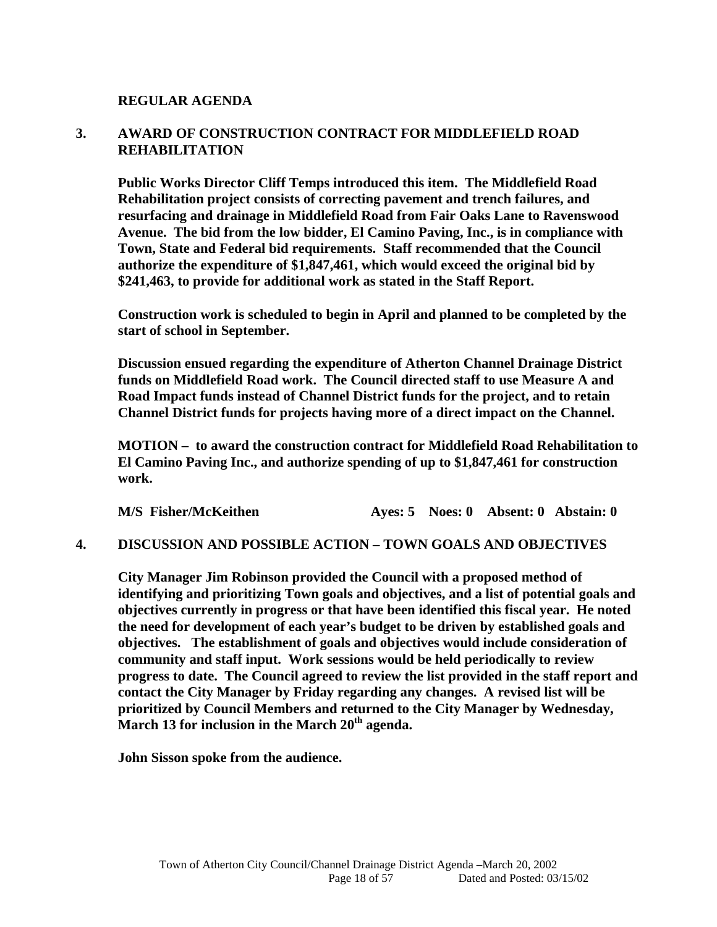**REGULAR AGENDA** 

## **3. AWARD OF CONSTRUCTION CONTRACT FOR MIDDLEFIELD ROAD REHABILITATION**

 **Public Works Director Cliff Temps introduced this item. The Middlefield Road Rehabilitation project consists of correcting pavement and trench failures, and resurfacing and drainage in Middlefield Road from Fair Oaks Lane to Ravenswood Avenue. The bid from the low bidder, El Camino Paving, Inc., is in compliance with Town, State and Federal bid requirements. Staff recommended that the Council authorize the expenditure of \$1,847,461, which would exceed the original bid by \$241,463, to provide for additional work as stated in the Staff Report.** 

 **Construction work is scheduled to begin in April and planned to be completed by the start of school in September.** 

**Discussion ensued regarding the expenditure of Atherton Channel Drainage District funds on Middlefield Road work. The Council directed staff to use Measure A and Road Impact funds instead of Channel District funds for the project, and to retain Channel District funds for projects having more of a direct impact on the Channel.** 

**MOTION – to award the construction contract for Middlefield Road Rehabilitation to El Camino Paving Inc., and authorize spending of up to \$1,847,461 for construction work.** 

| <b>M/S Fisher/McKeithen</b> |  |  |  | Ayes: 5 Noes: 0 Absent: 0 Abstain: 0 |
|-----------------------------|--|--|--|--------------------------------------|
|-----------------------------|--|--|--|--------------------------------------|

#### **4. DISCUSSION AND POSSIBLE ACTION – TOWN GOALS AND OBJECTIVES**

 **City Manager Jim Robinson provided the Council with a proposed method of identifying and prioritizing Town goals and objectives, and a list of potential goals and objectives currently in progress or that have been identified this fiscal year. He noted the need for development of each year's budget to be driven by established goals and objectives. The establishment of goals and objectives would include consideration of community and staff input. Work sessions would be held periodically to review progress to date. The Council agreed to review the list provided in the staff report and contact the City Manager by Friday regarding any changes. A revised list will be prioritized by Council Members and returned to the City Manager by Wednesday, March 13 for inclusion in the March 20th agenda.** 

 **John Sisson spoke from the audience.**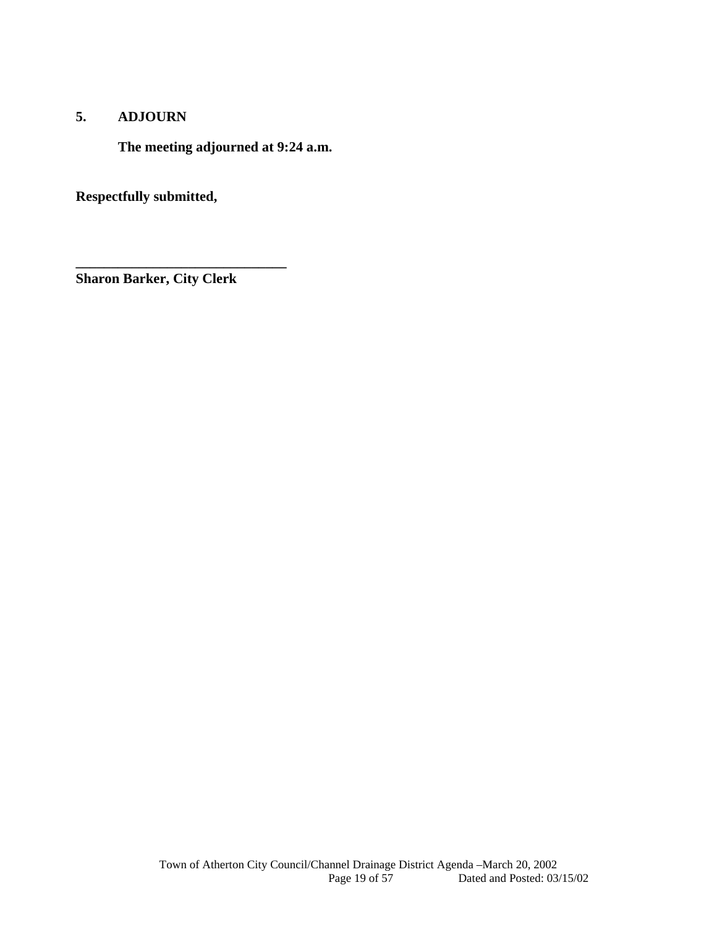## **5. ADJOURN**

**The meeting adjourned at 9:24 a.m.** 

**Respectfully submitted,** 

**Sharon Barker, City Clerk** 

**\_\_\_\_\_\_\_\_\_\_\_\_\_\_\_\_\_\_\_\_\_\_\_\_\_\_\_\_\_\_**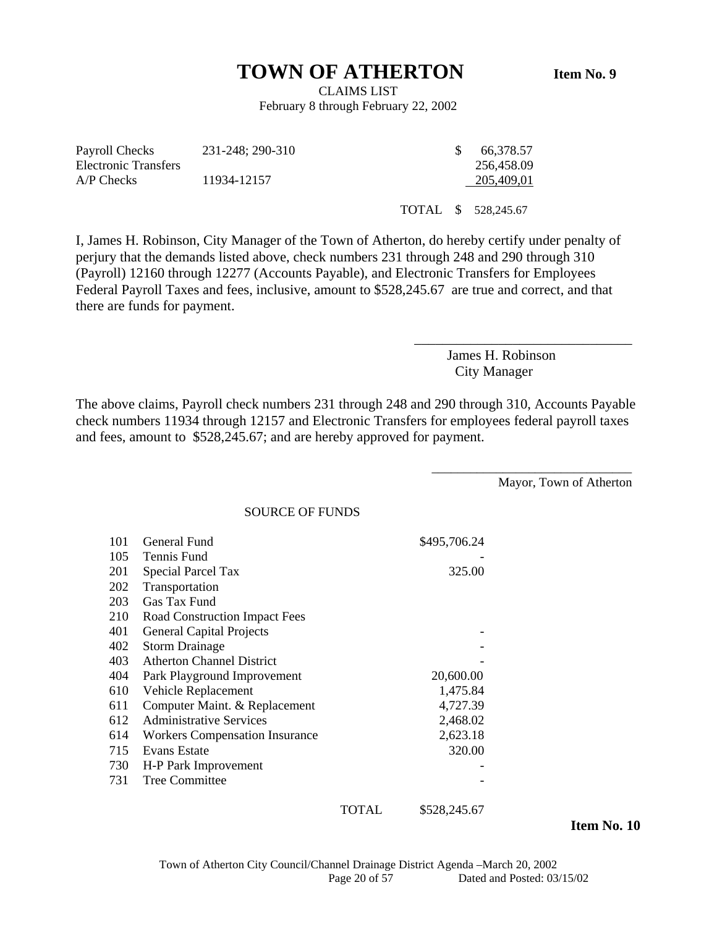# **TOWN OF ATHERTON** Item No. 9

CLAIMS LIST February 8 through February 22, 2002

| Payroll Checks       | 231-248; 290-310 |  | 66.378.57           |
|----------------------|------------------|--|---------------------|
| Electronic Transfers |                  |  | 256,458.09          |
| $A/P$ Checks         | 11934-12157      |  | 205,409,01          |
|                      |                  |  |                     |
|                      |                  |  | TOTAL \$ 528,245.67 |

I, James H. Robinson, City Manager of the Town of Atherton, do hereby certify under penalty of perjury that the demands listed above, check numbers 231 through 248 and 290 through 310 (Payroll) 12160 through 12277 (Accounts Payable), and Electronic Transfers for Employees Federal Payroll Taxes and fees, inclusive, amount to \$528,245.67 are true and correct, and that there are funds for payment.

> James H. Robinson City Manager

\_\_\_\_\_\_\_\_\_\_\_\_\_\_\_\_\_\_\_\_\_\_\_\_\_\_\_\_\_\_\_

The above claims, Payroll check numbers 231 through 248 and 290 through 310, Accounts Payable check numbers 11934 through 12157 and Electronic Transfers for employees federal payroll taxes and fees, amount to \$528,245.67; and are hereby approved for payment.

Mayor, Town of Atherton

\_\_\_\_\_\_\_\_\_\_\_\_\_\_\_\_\_\_\_\_\_\_\_\_\_\_\_\_\_\_\_

SOURCE OF FUNDS

| 101 | General Fund                          |                                              | \$495,706.24                          |
|-----|---------------------------------------|----------------------------------------------|---------------------------------------|
| 105 | Tennis Fund                           |                                              |                                       |
| 201 | Special Parcel Tax                    |                                              | 325.00                                |
| 202 | Transportation                        |                                              |                                       |
| 203 | Gas Tax Fund                          |                                              |                                       |
| 210 | <b>Road Construction Impact Fees</b>  |                                              |                                       |
| 401 | <b>General Capital Projects</b>       |                                              |                                       |
| 402 | <b>Storm Drainage</b>                 |                                              |                                       |
| 403 | <b>Atherton Channel District</b>      |                                              |                                       |
| 404 | Park Playground Improvement           |                                              | 20,600.00                             |
| 610 | Vehicle Replacement                   |                                              | 1,475.84                              |
| 611 | Computer Maint. & Replacement         |                                              | 4,727.39                              |
| 612 | <b>Administrative Services</b>        |                                              | 2,468.02                              |
| 614 | <b>Workers Compensation Insurance</b> |                                              | 2,623.18                              |
| 715 | <b>Evans Estate</b>                   |                                              | 320.00                                |
| 730 | H-P Park Improvement                  |                                              |                                       |
| 731 | <b>Tree Committee</b>                 |                                              |                                       |
|     |                                       | $\overline{m}$ $\overline{m}$ $\overline{r}$ | $\bigwedge P \cap \bigwedge P \cup P$ |

TOTAL \$528,245.67

 **Item No. 10**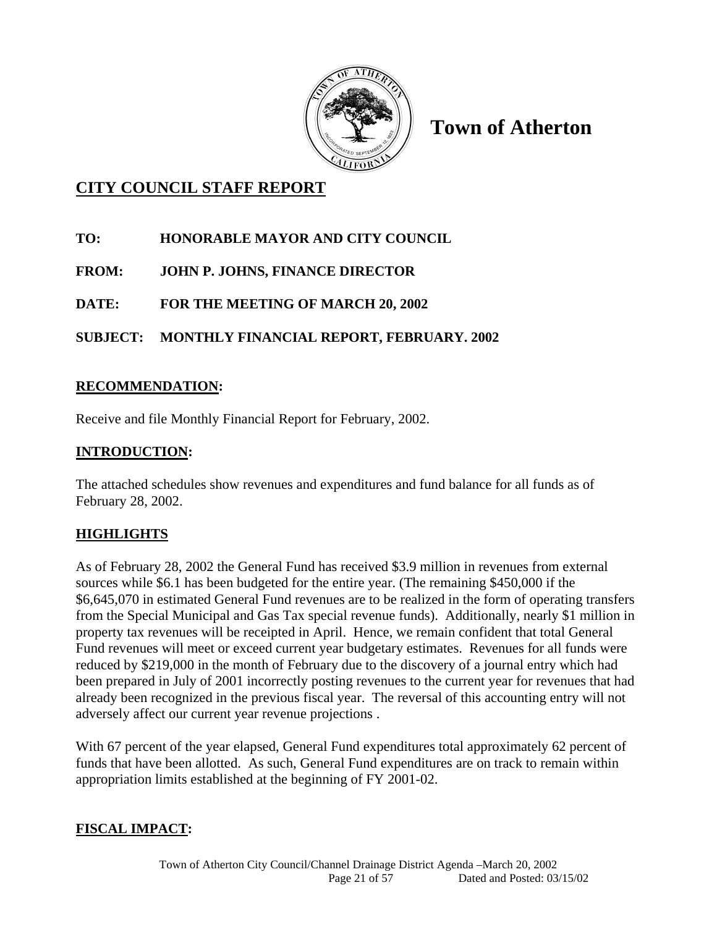

**Town of Atherton** 

# **CITY COUNCIL STAFF REPORT**

- **TO: HONORABLE MAYOR AND CITY COUNCIL**
- **FROM: JOHN P. JOHNS, FINANCE DIRECTOR**
- **DATE: FOR THE MEETING OF MARCH 20, 2002**

# **SUBJECT: MONTHLY FINANCIAL REPORT, FEBRUARY. 2002**

## **RECOMMENDATION:**

Receive and file Monthly Financial Report for February, 2002.

# **INTRODUCTION:**

The attached schedules show revenues and expenditures and fund balance for all funds as of February 28, 2002.

# **HIGHLIGHTS**

As of February 28, 2002 the General Fund has received \$3.9 million in revenues from external sources while \$6.1 has been budgeted for the entire year. (The remaining \$450,000 if the \$6,645,070 in estimated General Fund revenues are to be realized in the form of operating transfers from the Special Municipal and Gas Tax special revenue funds). Additionally, nearly \$1 million in property tax revenues will be receipted in April. Hence, we remain confident that total General Fund revenues will meet or exceed current year budgetary estimates. Revenues for all funds were reduced by \$219,000 in the month of February due to the discovery of a journal entry which had been prepared in July of 2001 incorrectly posting revenues to the current year for revenues that had already been recognized in the previous fiscal year. The reversal of this accounting entry will not adversely affect our current year revenue projections .

With 67 percent of the year elapsed, General Fund expenditures total approximately 62 percent of funds that have been allotted. As such, General Fund expenditures are on track to remain within appropriation limits established at the beginning of FY 2001-02.

## **FISCAL IMPACT:**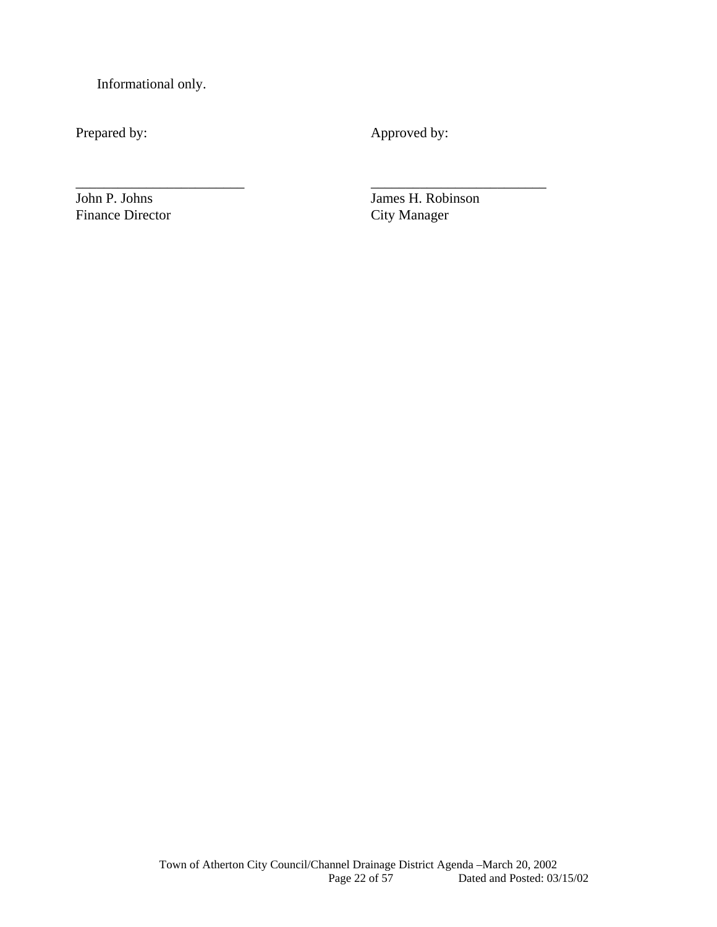Informational only.

Prepared by: Approved by:

\_\_\_\_\_\_\_\_\_\_\_\_\_\_\_\_\_\_\_\_\_\_\_\_ \_\_\_\_\_\_\_\_\_\_\_\_\_\_\_\_\_\_\_\_\_\_\_\_\_

Finance Director

John P. Johns James H. Robinson<br>Finance Director City Manager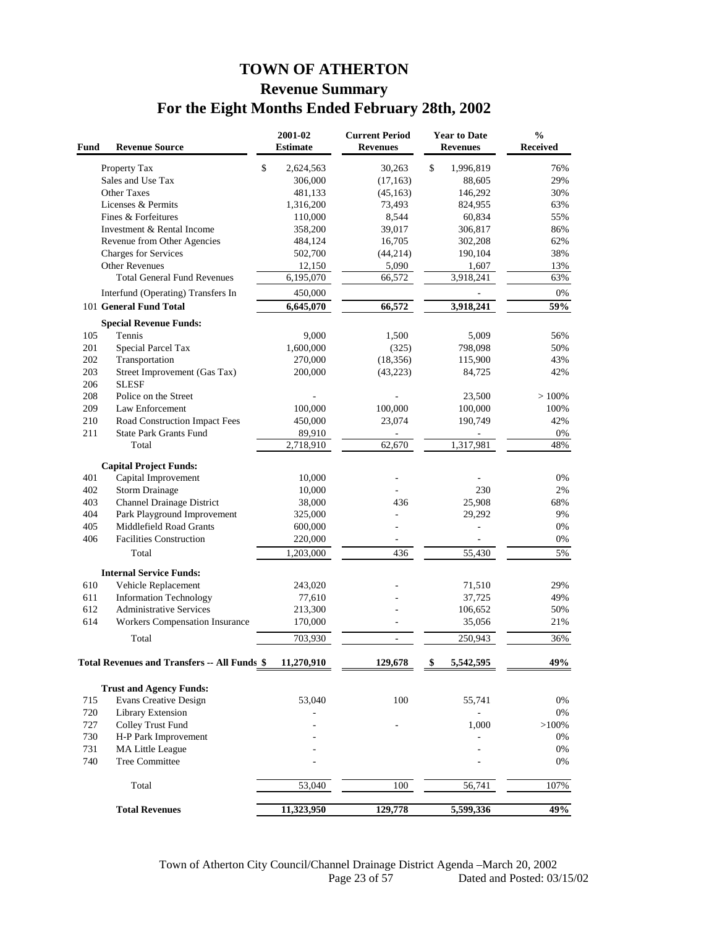# **TOWN OF ATHERTON Revenue Summary For the Eight Months Ended February 28th, 2002**

| Fund | <b>Revenue Source</b>                               | 2001-02<br><b>Estimate</b> | <b>Current Period</b><br><b>Revenues</b> | <b>Year to Date</b><br><b>Revenues</b> | $\frac{0}{0}$<br>Received |
|------|-----------------------------------------------------|----------------------------|------------------------------------------|----------------------------------------|---------------------------|
|      | Property Tax                                        | \$<br>2,624,563            | 30,263                                   | \$<br>1,996,819                        | 76%                       |
|      | Sales and Use Tax                                   | 306,000                    | (17, 163)                                | 88,605                                 | 29%                       |
|      | Other Taxes                                         | 481,133                    | (45, 163)                                | 146,292                                | 30%                       |
|      | Licenses & Permits                                  | 1,316,200                  | 73,493                                   | 824,955                                | 63%                       |
|      | Fines & Forfeitures                                 | 110,000                    | 8,544                                    | 60,834                                 | 55%                       |
|      | Investment & Rental Income                          | 358,200                    | 39,017                                   | 306,817                                | 86%                       |
|      | Revenue from Other Agencies                         | 484,124                    | 16,705                                   | 302,208                                | 62%                       |
|      | Charges for Services                                | 502,700                    | (44,214)                                 | 190,104                                | 38%                       |
|      | <b>Other Revenues</b>                               | 12,150                     | 5,090                                    | 1,607                                  | 13%                       |
|      | <b>Total General Fund Revenues</b>                  | 6,195,070                  | 66,572                                   | 3,918,241                              | 63%                       |
|      | Interfund (Operating) Transfers In                  | 450,000                    |                                          |                                        | 0%                        |
|      | 101 General Fund Total                              | 6,645,070                  | 66,572                                   | 3,918,241                              | 59%                       |
|      | <b>Special Revenue Funds:</b>                       |                            |                                          |                                        |                           |
| 105  | Tennis                                              | 9,000                      | 1,500                                    | 5,009                                  | 56%                       |
| 201  | Special Parcel Tax                                  | 1,600,000                  | (325)                                    | 798,098                                | 50%                       |
| 202  | Transportation                                      | 270,000                    | (18, 356)                                | 115,900                                | 43%                       |
| 203  | Street Improvement (Gas Tax)                        | 200,000                    | (43, 223)                                | 84,725                                 | 42%                       |
| 206  | <b>SLESF</b>                                        |                            |                                          |                                        |                           |
| 208  | Police on the Street                                |                            |                                          | 23,500                                 | >100%                     |
| 209  | Law Enforcement                                     | 100,000                    | 100,000                                  | 100,000                                | 100%                      |
| 210  | Road Construction Impact Fees                       | 450,000                    | 23,074                                   | 190,749                                | 42%                       |
| 211  | <b>State Park Grants Fund</b>                       | 89,910                     |                                          |                                        | 0%                        |
|      | Total                                               | 2,718,910                  | 62,670                                   | 1,317,981                              | 48%                       |
|      | <b>Capital Project Funds:</b>                       |                            |                                          |                                        |                           |
| 401  | Capital Improvement                                 | 10,000                     |                                          |                                        | 0%                        |
| 402  | <b>Storm Drainage</b>                               | 10,000                     |                                          | 230                                    | 2%                        |
| 403  | Channel Drainage District                           | 38,000                     | 436                                      | 25,908                                 | 68%                       |
| 404  | Park Playground Improvement                         | 325,000                    |                                          | 29,292                                 | 9%                        |
| 405  | Middlefield Road Grants                             | 600,000                    |                                          |                                        | 0%                        |
| 406  | <b>Facilities Construction</b>                      | 220,000                    | $\overline{\phantom{a}}$                 |                                        | 0%                        |
|      | Total                                               | 1,203,000                  | 436                                      | 55,430                                 | 5%                        |
|      | <b>Internal Service Funds:</b>                      |                            |                                          |                                        |                           |
| 610  | Vehicle Replacement                                 | 243,020                    |                                          | 71,510                                 | 29%                       |
| 611  | <b>Information Technology</b>                       | 77,610                     |                                          | 37,725                                 | 49%                       |
| 612  | <b>Administrative Services</b>                      | 213,300                    |                                          | 106,652                                | 50%                       |
| 614  | Workers Compensation Insurance                      | 170,000                    |                                          | 35,056                                 | 21%                       |
|      | Total                                               | 703,930                    | $\overline{\phantom{a}}$                 | 250,943                                | 36%                       |
|      | <b>Total Revenues and Transfers -- All Funds \$</b> | 11,270,910                 | 129,678                                  | 5,542,595<br>\$                        | 49%                       |
|      |                                                     |                            |                                          |                                        |                           |
|      | <b>Trust and Agency Funds:</b>                      |                            |                                          |                                        |                           |
| 715  | <b>Evans Creative Design</b>                        | 53,040                     | 100                                      | 55,741                                 | 0%                        |
| 720  | Library Extension                                   |                            |                                          |                                        | 0%                        |
| 727  | Colley Trust Fund                                   |                            |                                          | 1,000                                  | $>100\%$                  |
| 730  | H-P Park Improvement                                |                            |                                          |                                        | $0\%$                     |
| 731  | <b>MA Little League</b>                             |                            |                                          |                                        | 0%                        |
| 740  | <b>Tree Committee</b>                               |                            |                                          |                                        | 0%                        |
|      | Total                                               | 53,040                     | 100                                      | 56,741                                 | 107%                      |
|      | <b>Total Revenues</b>                               | 11,323,950                 | 129,778                                  | 5,599,336                              | 49%                       |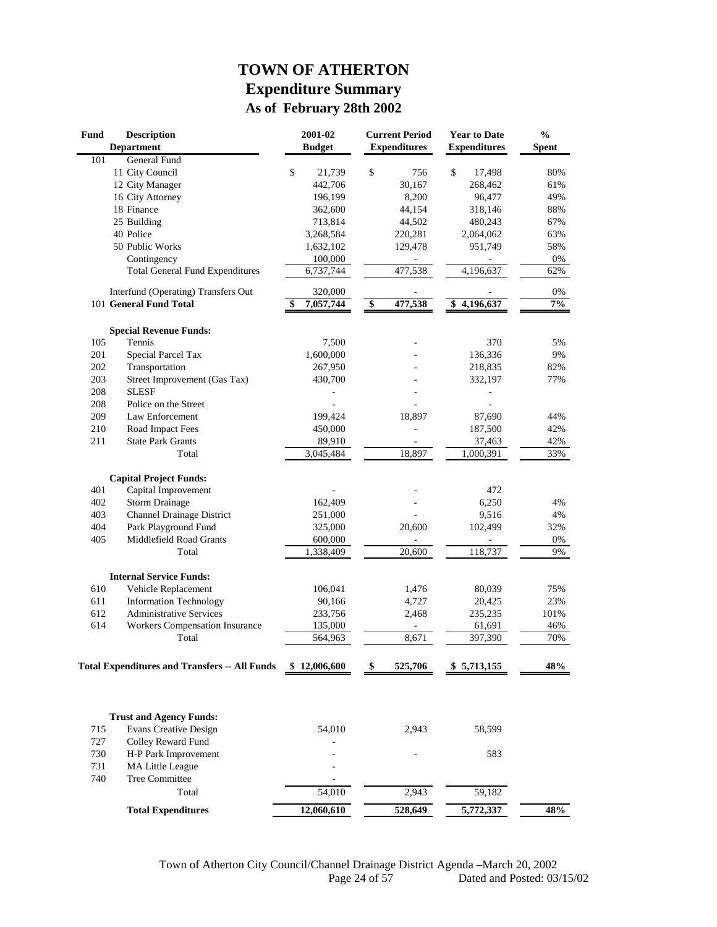# **TOWN OF ATHERTON Expenditure Summary As of February 28th 2002**

| Fund<br><b>Description</b><br><b>Department</b> |                                                      | 2001-02<br><b>Current Period</b><br><b>Budget</b><br><b>Expenditures</b> |              |                                  | <b>Year to Date</b><br><b>Expenditures</b> |    | $\frac{0}{0}$<br><b>Spent</b> |      |
|-------------------------------------------------|------------------------------------------------------|--------------------------------------------------------------------------|--------------|----------------------------------|--------------------------------------------|----|-------------------------------|------|
| 101                                             | General Fund                                         |                                                                          |              |                                  |                                            |    |                               |      |
|                                                 | 11 City Council                                      | \$                                                                       | 21,739       | \$                               | 756                                        | \$ | 17,498                        | 80%  |
|                                                 | 12 City Manager                                      |                                                                          | 442,706      |                                  | 30,167                                     |    | 268,462                       | 61%  |
|                                                 | 16 City Attorney                                     |                                                                          | 196,199      |                                  | 8,200                                      |    | 96,477                        | 49%  |
|                                                 | 18 Finance                                           |                                                                          | 362,600      |                                  | 44,154                                     |    | 318,146                       | 88%  |
|                                                 | 25 Building                                          |                                                                          | 713,814      |                                  | 44,502                                     |    | 480,243                       | 67%  |
|                                                 | 40 Police                                            |                                                                          | 3,268,584    |                                  | 220,281                                    |    | 2,064,062                     | 63%  |
|                                                 | 50 Public Works                                      |                                                                          | 1,632,102    |                                  | 129,478                                    |    | 951,749                       | 58%  |
|                                                 | Contingency                                          |                                                                          | 100,000      |                                  |                                            |    |                               | 0%   |
|                                                 | <b>Total General Fund Expenditures</b>               |                                                                          | 6,737,744    |                                  | 477,538                                    |    | 4,196,637                     | 62%  |
|                                                 | Interfund (Operating) Transfers Out                  |                                                                          | 320,000      |                                  |                                            |    |                               | 0%   |
|                                                 | 101 General Fund Total                               | \$                                                                       | 7,057,744    | $\overline{\boldsymbol{\theta}}$ | 477,538                                    |    | \$4,196,637                   | 7%   |
|                                                 | <b>Special Revenue Funds:</b>                        |                                                                          |              |                                  |                                            |    |                               |      |
| 105                                             | Tennis                                               |                                                                          | 7,500        |                                  |                                            |    | 370                           | 5%   |
| 201                                             | Special Parcel Tax                                   |                                                                          | 1,600,000    |                                  |                                            |    | 136,336                       | 9%   |
| 202                                             | Transportation                                       |                                                                          | 267,950      |                                  |                                            |    | 218,835                       | 82%  |
| 203                                             | Street Improvement (Gas Tax)                         |                                                                          | 430,700      |                                  |                                            |    | 332,197                       | 77%  |
| 208                                             | <b>SLESF</b>                                         |                                                                          |              |                                  |                                            |    |                               |      |
| 208                                             | Police on the Street                                 |                                                                          |              |                                  |                                            |    |                               |      |
| 209                                             | Law Enforcement                                      |                                                                          | 199,424      |                                  | 18,897                                     |    | 87,690                        | 44%  |
| 210                                             | Road Impact Fees                                     |                                                                          | 450,000      |                                  |                                            |    | 187,500                       | 42%  |
| 211                                             | <b>State Park Grants</b>                             |                                                                          | 89,910       |                                  |                                            |    | 37,463                        | 42%  |
|                                                 | Total                                                |                                                                          | 3,045,484    |                                  | 18,897                                     |    | 1,000,391                     | 33%  |
|                                                 | <b>Capital Project Funds:</b>                        |                                                                          |              |                                  |                                            |    |                               |      |
| 401                                             | Capital Improvement                                  |                                                                          |              |                                  |                                            |    | 472                           |      |
| 402                                             | <b>Storm Drainage</b>                                |                                                                          | 162,409      |                                  |                                            |    | 6,250                         | 4%   |
| 403                                             | <b>Channel Drainage District</b>                     |                                                                          | 251,000      |                                  |                                            |    | 9,516                         | 4%   |
| 404                                             | Park Playground Fund                                 |                                                                          | 325,000      |                                  | 20,600                                     |    | 102,499                       | 32%  |
| 405                                             | Middlefield Road Grants                              |                                                                          | 600,000      |                                  |                                            |    |                               | 0%   |
|                                                 | Total                                                |                                                                          | 1,338,409    |                                  | 20,600                                     |    | 118,737                       | 9%   |
|                                                 | <b>Internal Service Funds:</b>                       |                                                                          |              |                                  |                                            |    |                               |      |
| 610                                             | Vehicle Replacement                                  |                                                                          | 106,041      |                                  | 1,476                                      |    | 80,039                        | 75%  |
| 611                                             | <b>Information Technology</b>                        |                                                                          | 90,166       |                                  | 4,727                                      |    | 20,425                        | 23%  |
| 612                                             | <b>Administrative Services</b>                       |                                                                          | 233,756      |                                  | 2,468                                      |    | 235,235                       | 101% |
| 614                                             | Workers Compensation Insurance                       |                                                                          | 135,000      |                                  | $\sim$                                     |    | 61,691                        | 46%  |
|                                                 | Total                                                |                                                                          | 564,963      |                                  | 8,671                                      |    | 397,390                       | 70%  |
|                                                 | <b>Total Expenditures and Transfers -- All Funds</b> |                                                                          | \$12,006,600 | \$                               | 525,706                                    |    | \$5,713,155                   | 48%  |
|                                                 |                                                      |                                                                          |              |                                  |                                            |    |                               |      |
|                                                 |                                                      |                                                                          |              |                                  |                                            |    |                               |      |
|                                                 | <b>Trust and Agency Funds:</b>                       |                                                                          |              |                                  |                                            |    |                               |      |
| 715                                             | Evans Creative Design                                |                                                                          | 54,010       |                                  | 2,943                                      |    | 58,599                        |      |
| 727                                             | Colley Reward Fund                                   |                                                                          |              |                                  |                                            |    |                               |      |
| 730                                             | H-P Park Improvement                                 |                                                                          |              |                                  |                                            |    | 583                           |      |
| 731                                             | MA Little League                                     |                                                                          |              |                                  |                                            |    |                               |      |
| 740                                             | Tree Committee                                       |                                                                          |              |                                  |                                            |    |                               |      |
|                                                 | Total                                                |                                                                          | 54,010       |                                  | 2,943                                      |    | 59,182                        |      |
|                                                 | <b>Total Expenditures</b>                            |                                                                          | 12,060,610   |                                  | 528,649                                    |    | 5,772,337                     | 48%  |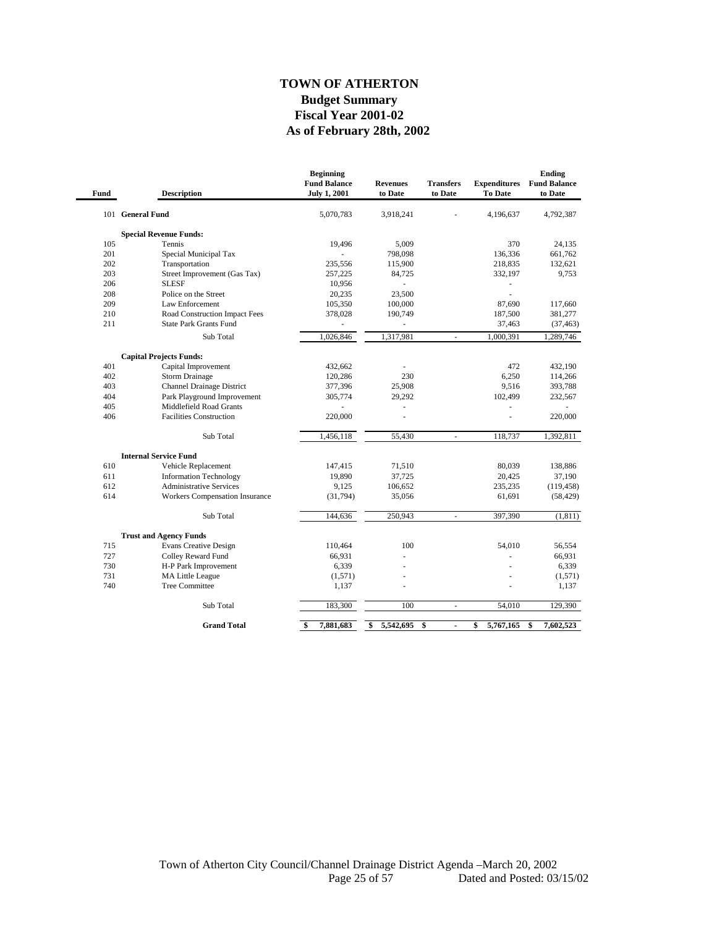#### **As of February 28th, 2002 TOWN OF ATHERTON Budget Summary Fiscal Year 2001-02**

| Fund | <b>Description</b>                    | <b>Beginning</b><br><b>Fund Balance</b><br><b>July 1, 2001</b> | <b>Revenues</b><br>to Date | <b>Transfers</b><br>to Date | <b>Expenditures</b><br><b>To Date</b> | <b>Ending</b><br><b>Fund Balance</b><br>to Date |
|------|---------------------------------------|----------------------------------------------------------------|----------------------------|-----------------------------|---------------------------------------|-------------------------------------------------|
|      | 101 General Fund                      | 5,070,783                                                      | 3,918,241                  |                             | 4,196,637                             | 4,792,387                                       |
|      | <b>Special Revenue Funds:</b>         |                                                                |                            |                             |                                       |                                                 |
| 105  | Tennis                                | 19,496                                                         | 5,009                      |                             | 370                                   | 24,135                                          |
| 201  | Special Municipal Tax                 |                                                                | 798,098                    |                             | 136,336                               | 661,762                                         |
| 202  | Transportation                        | 235,556                                                        | 115,900                    |                             | 218,835                               | 132,621                                         |
| 203  | Street Improvement (Gas Tax)          | 257,225                                                        | 84,725                     |                             | 332,197                               | 9,753                                           |
| 206  | <b>SLESF</b>                          | 10,956                                                         | $\mathbf{r}$               |                             | ÷,                                    |                                                 |
| 208  | Police on the Street                  | 20,235                                                         | 23,500                     |                             | L,                                    |                                                 |
| 209  | Law Enforcement                       | 105,350                                                        | 100,000                    |                             | 87,690                                | 117,660                                         |
| 210  | Road Construction Impact Fees         | 378,028                                                        | 190,749                    |                             | 187,500                               | 381,277                                         |
| 211  | <b>State Park Grants Fund</b>         |                                                                |                            |                             | 37,463                                | (37, 463)                                       |
|      | Sub Total                             | 1,026,846                                                      | 1,317,981                  | ÷,                          | 1,000,391                             | 1,289,746                                       |
|      | <b>Capital Projects Funds:</b>        |                                                                |                            |                             |                                       |                                                 |
| 401  | Capital Improvement                   | 432,662                                                        | ä,                         |                             | 472                                   | 432,190                                         |
| 402  | <b>Storm Drainage</b>                 | 120,286                                                        | 230                        |                             | 6,250                                 | 114,266                                         |
| 403  | Channel Drainage District             | 377,396                                                        | 25,908                     |                             | 9,516                                 | 393,788                                         |
| 404  | Park Playground Improvement           | 305,774                                                        | 29,292                     |                             | 102,499                               | 232,567                                         |
| 405  | Middlefield Road Grants               |                                                                | ÷,                         |                             | $\overline{\phantom{m}}$              |                                                 |
| 406  | <b>Facilities Construction</b>        | 220,000                                                        |                            |                             | J.                                    | 220,000                                         |
|      | Sub Total                             | 1,456,118                                                      | 55,430                     | ÷,                          | 118,737                               | 1,392,811                                       |
|      | <b>Internal Service Fund</b>          |                                                                |                            |                             |                                       |                                                 |
| 610  | Vehicle Replacement                   | 147,415                                                        | 71,510                     |                             | 80,039                                | 138,886                                         |
| 611  | <b>Information Technology</b>         | 19,890                                                         | 37,725                     |                             | 20,425                                | 37,190                                          |
| 612  | <b>Administrative Services</b>        | 9,125                                                          | 106,652                    |                             | 235,235                               | (119, 458)                                      |
| 614  | <b>Workers Compensation Insurance</b> | (31, 794)                                                      | 35,056                     |                             | 61,691                                | (58, 429)                                       |
|      | Sub Total                             | 144,636                                                        | 250,943                    | ä,                          | 397,390                               | (1, 811)                                        |
|      | <b>Trust and Agency Funds</b>         |                                                                |                            |                             |                                       |                                                 |
| 715  | <b>Evans Creative Design</b>          | 110,464                                                        | 100                        |                             | 54.010                                | 56,554                                          |
| 727  | Colley Reward Fund                    | 66,931                                                         | ä,                         |                             |                                       | 66,931                                          |
| 730  | H-P Park Improvement                  | 6,339                                                          |                            |                             |                                       | 6,339                                           |
| 731  | <b>MA Little League</b>               | (1,571)                                                        | ä,                         |                             |                                       | (1,571)                                         |
| 740  | <b>Tree Committee</b>                 | 1,137                                                          | ä,                         |                             |                                       | 1,137                                           |
|      | Sub Total                             | 183,300                                                        | 100                        | ÷,                          | 54,010                                | 129,390                                         |
|      | <b>Grand Total</b>                    | 7,881,683<br>\$                                                | \$<br>5,542,695            | \$                          | \$<br>5,767,165                       | \$<br>7,602,523                                 |
|      |                                       |                                                                |                            |                             |                                       |                                                 |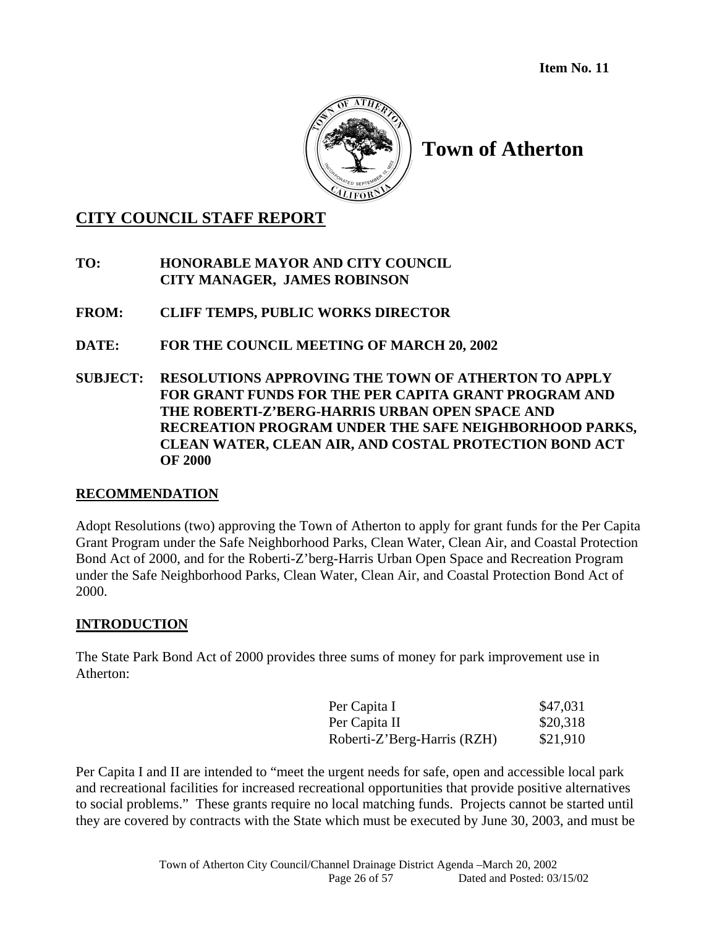

# **Town of Atherton**

# **CITY COUNCIL STAFF REPORT**

- **TO: HONORABLE MAYOR AND CITY COUNCIL CITY MANAGER, JAMES ROBINSON**
- **FROM: CLIFF TEMPS, PUBLIC WORKS DIRECTOR**
- **DATE: FOR THE COUNCIL MEETING OF MARCH 20, 2002**
- **SUBJECT: RESOLUTIONS APPROVING THE TOWN OF ATHERTON TO APPLY FOR GRANT FUNDS FOR THE PER CAPITA GRANT PROGRAM AND THE ROBERTI-Z'BERG-HARRIS URBAN OPEN SPACE AND RECREATION PROGRAM UNDER THE SAFE NEIGHBORHOOD PARKS, CLEAN WATER, CLEAN AIR, AND COSTAL PROTECTION BOND ACT OF 2000**

## **RECOMMENDATION**

Adopt Resolutions (two) approving the Town of Atherton to apply for grant funds for the Per Capita Grant Program under the Safe Neighborhood Parks, Clean Water, Clean Air, and Coastal Protection Bond Act of 2000, and for the Roberti-Z'berg-Harris Urban Open Space and Recreation Program under the Safe Neighborhood Parks, Clean Water, Clean Air, and Coastal Protection Bond Act of 2000.

## **INTRODUCTION**

The State Park Bond Act of 2000 provides three sums of money for park improvement use in Atherton:

| Per Capita I                | \$47,031 |
|-----------------------------|----------|
| Per Capita II               | \$20,318 |
| Roberti-Z'Berg-Harris (RZH) | \$21,910 |

Per Capita I and II are intended to "meet the urgent needs for safe, open and accessible local park and recreational facilities for increased recreational opportunities that provide positive alternatives to social problems." These grants require no local matching funds. Projects cannot be started until they are covered by contracts with the State which must be executed by June 30, 2003, and must be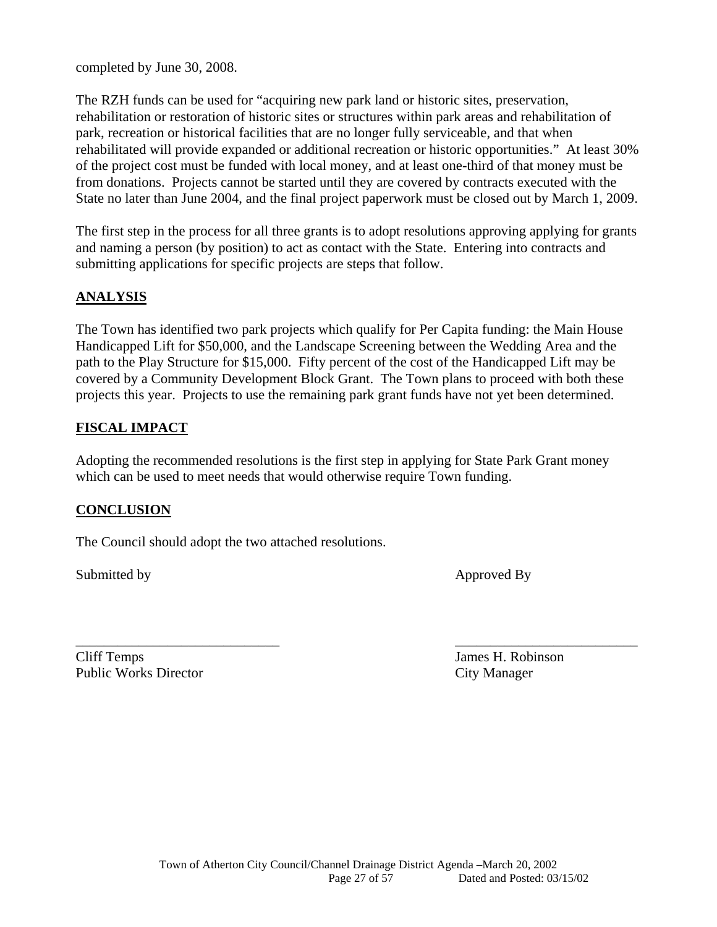completed by June 30, 2008.

The RZH funds can be used for "acquiring new park land or historic sites, preservation, rehabilitation or restoration of historic sites or structures within park areas and rehabilitation of park, recreation or historical facilities that are no longer fully serviceable, and that when rehabilitated will provide expanded or additional recreation or historic opportunities." At least 30% of the project cost must be funded with local money, and at least one-third of that money must be from donations. Projects cannot be started until they are covered by contracts executed with the State no later than June 2004, and the final project paperwork must be closed out by March 1, 2009.

The first step in the process for all three grants is to adopt resolutions approving applying for grants and naming a person (by position) to act as contact with the State. Entering into contracts and submitting applications for specific projects are steps that follow.

## **ANALYSIS**

The Town has identified two park projects which qualify for Per Capita funding: the Main House Handicapped Lift for \$50,000, and the Landscape Screening between the Wedding Area and the path to the Play Structure for \$15,000. Fifty percent of the cost of the Handicapped Lift may be covered by a Community Development Block Grant. The Town plans to proceed with both these projects this year. Projects to use the remaining park grant funds have not yet been determined.

## **FISCAL IMPACT**

Adopting the recommended resolutions is the first step in applying for State Park Grant money which can be used to meet needs that would otherwise require Town funding.

\_\_\_\_\_\_\_\_\_\_\_\_\_\_\_\_\_\_\_\_\_\_\_\_\_\_\_\_\_ \_\_\_\_\_\_\_\_\_\_\_\_\_\_\_\_\_\_\_\_\_\_\_\_\_\_

## **CONCLUSION**

The Council should adopt the two attached resolutions.

Submitted by Approved By

Cliff Temps James H. Robinson Public Works Director City Manager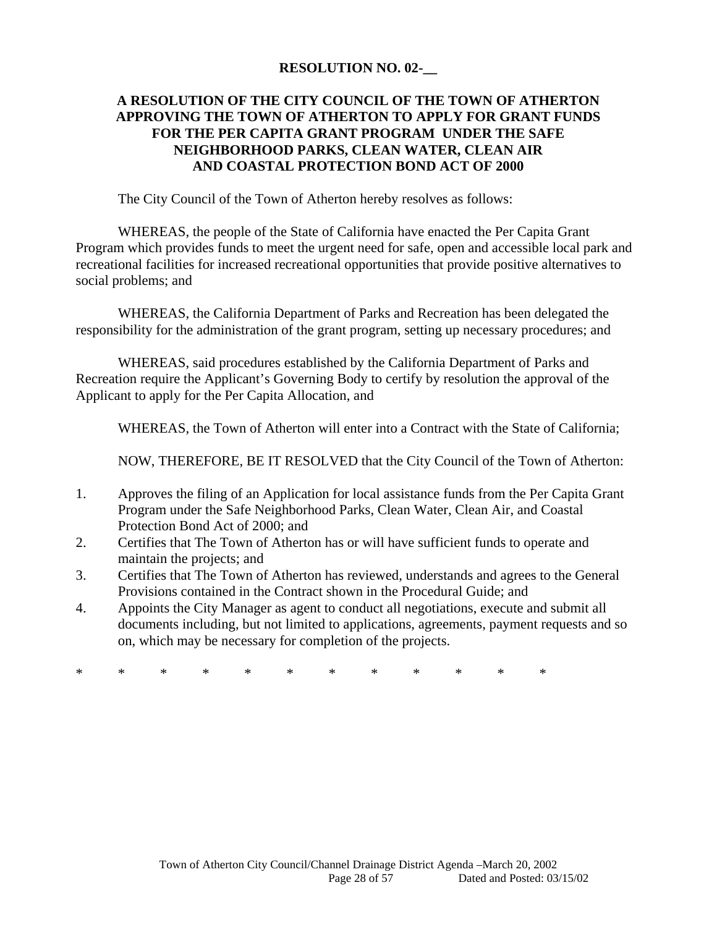#### **RESOLUTION NO. 02-\_\_**

## **A RESOLUTION OF THE CITY COUNCIL OF THE TOWN OF ATHERTON APPROVING THE TOWN OF ATHERTON TO APPLY FOR GRANT FUNDS FOR THE PER CAPITA GRANT PROGRAM UNDER THE SAFE NEIGHBORHOOD PARKS, CLEAN WATER, CLEAN AIR AND COASTAL PROTECTION BOND ACT OF 2000**

The City Council of the Town of Atherton hereby resolves as follows:

 WHEREAS, the people of the State of California have enacted the Per Capita Grant Program which provides funds to meet the urgent need for safe, open and accessible local park and recreational facilities for increased recreational opportunities that provide positive alternatives to social problems; and

 WHEREAS, the California Department of Parks and Recreation has been delegated the responsibility for the administration of the grant program, setting up necessary procedures; and

 WHEREAS, said procedures established by the California Department of Parks and Recreation require the Applicant's Governing Body to certify by resolution the approval of the Applicant to apply for the Per Capita Allocation, and

WHEREAS, the Town of Atherton will enter into a Contract with the State of California;

NOW, THEREFORE, BE IT RESOLVED that the City Council of the Town of Atherton:

- 1. Approves the filing of an Application for local assistance funds from the Per Capita Grant Program under the Safe Neighborhood Parks, Clean Water, Clean Air, and Coastal Protection Bond Act of 2000; and
- 2. Certifies that The Town of Atherton has or will have sufficient funds to operate and maintain the projects; and
- 3. Certifies that The Town of Atherton has reviewed, understands and agrees to the General Provisions contained in the Contract shown in the Procedural Guide; and
- 4. Appoints the City Manager as agent to conduct all negotiations, execute and submit all documents including, but not limited to applications, agreements, payment requests and so on, which may be necessary for completion of the projects.

\* \* \* \* \* \* \* \* \* \* \* \*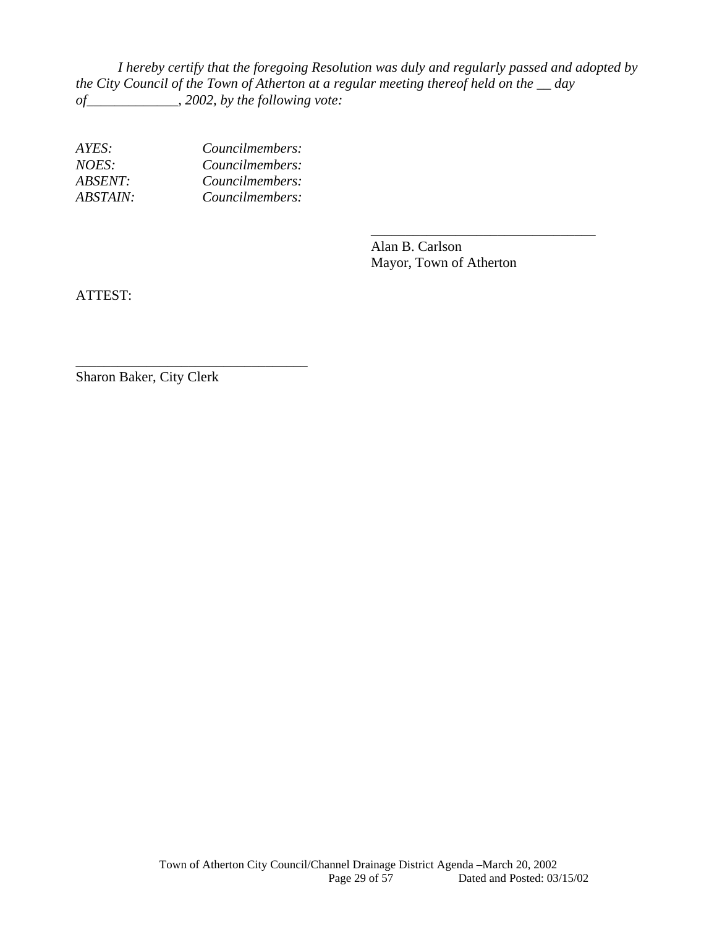*I hereby certify that the foregoing Resolution was duly and regularly passed and adopted by the City Council of the Town of Atherton at a regular meeting thereof held on the \_\_ day of\_\_\_\_\_\_\_\_\_\_\_\_\_, 2002, by the following vote:* 

 $\overline{\phantom{a}}$  , and the contract of the contract of the contract of the contract of the contract of the contract of the contract of the contract of the contract of the contract of the contract of the contract of the contrac

| Councilmembers: |
|-----------------|
| Councilmembers: |
| Councilmembers: |
| Councilmembers: |
|                 |

\_\_\_\_\_\_\_\_\_\_\_\_\_\_\_\_\_\_\_\_\_\_\_\_\_\_\_\_\_\_\_\_\_

 Alan B. Carlson Mayor, Town of Atherton

ATTEST:

Sharon Baker, City Clerk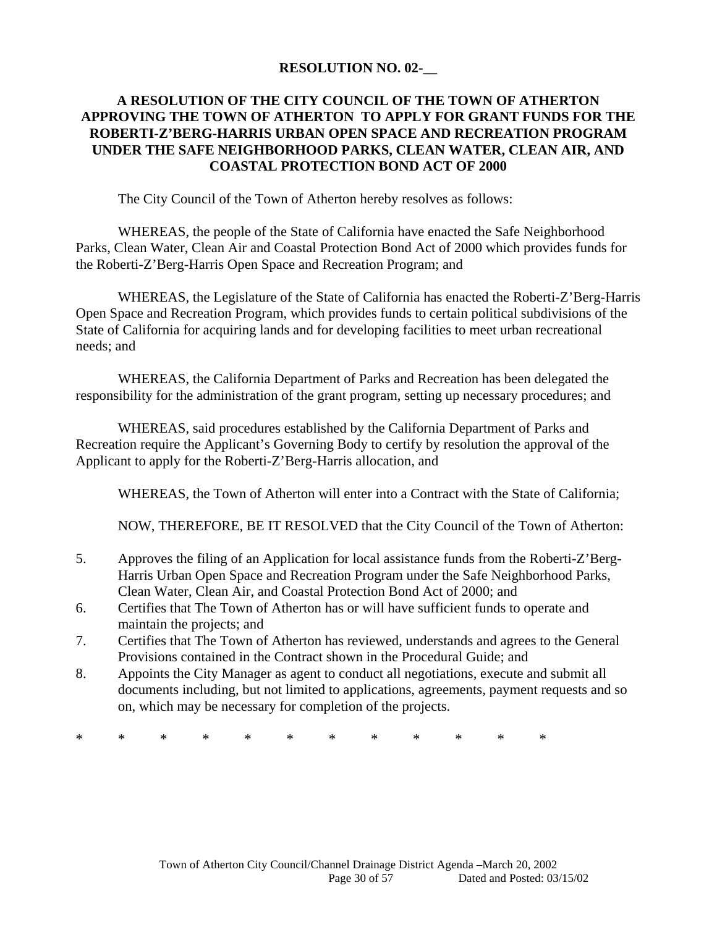#### **RESOLUTION NO. 02-\_\_**

## **A RESOLUTION OF THE CITY COUNCIL OF THE TOWN OF ATHERTON APPROVING THE TOWN OF ATHERTON TO APPLY FOR GRANT FUNDS FOR THE ROBERTI-Z'BERG-HARRIS URBAN OPEN SPACE AND RECREATION PROGRAM UNDER THE SAFE NEIGHBORHOOD PARKS, CLEAN WATER, CLEAN AIR, AND COASTAL PROTECTION BOND ACT OF 2000**

The City Council of the Town of Atherton hereby resolves as follows:

 WHEREAS, the people of the State of California have enacted the Safe Neighborhood Parks, Clean Water, Clean Air and Coastal Protection Bond Act of 2000 which provides funds for the Roberti-Z'Berg-Harris Open Space and Recreation Program; and

 WHEREAS, the Legislature of the State of California has enacted the Roberti-Z'Berg-Harris Open Space and Recreation Program, which provides funds to certain political subdivisions of the State of California for acquiring lands and for developing facilities to meet urban recreational needs; and

 WHEREAS, the California Department of Parks and Recreation has been delegated the responsibility for the administration of the grant program, setting up necessary procedures; and

 WHEREAS, said procedures established by the California Department of Parks and Recreation require the Applicant's Governing Body to certify by resolution the approval of the Applicant to apply for the Roberti-Z'Berg-Harris allocation, and

WHEREAS, the Town of Atherton will enter into a Contract with the State of California;

NOW, THEREFORE, BE IT RESOLVED that the City Council of the Town of Atherton:

- 5. Approves the filing of an Application for local assistance funds from the Roberti-Z'Berg-Harris Urban Open Space and Recreation Program under the Safe Neighborhood Parks, Clean Water, Clean Air, and Coastal Protection Bond Act of 2000; and
- 6. Certifies that The Town of Atherton has or will have sufficient funds to operate and maintain the projects; and
- 7. Certifies that The Town of Atherton has reviewed, understands and agrees to the General Provisions contained in the Contract shown in the Procedural Guide; and
- 8. Appoints the City Manager as agent to conduct all negotiations, execute and submit all documents including, but not limited to applications, agreements, payment requests and so on, which may be necessary for completion of the projects.

\* \* \* \* \* \* \* \* \* \* \* \*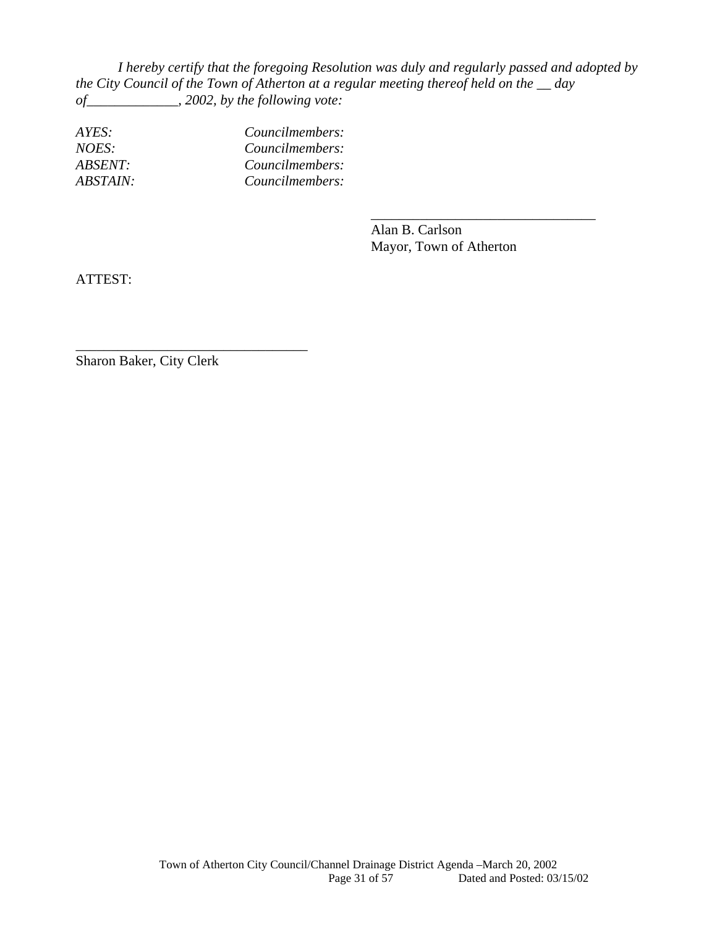*I hereby certify that the foregoing Resolution was duly and regularly passed and adopted by the City Council of the Town of Atherton at a regular meeting thereof held on the \_\_ day of\_\_\_\_\_\_\_\_\_\_\_\_\_, 2002, by the following vote:* 

 $\overline{\phantom{a}}$  , and the contract of the contract of the contract of the contract of the contract of the contract of the contract of the contract of the contract of the contract of the contract of the contract of the contrac

| Councilmembers: |
|-----------------|
| Councilmembers: |
| Councilmembers: |
| Councilmembers: |
|                 |

 Alan B. Carlson Mayor, Town of Atherton

ATTEST:

Sharon Baker, City Clerk

\_\_\_\_\_\_\_\_\_\_\_\_\_\_\_\_\_\_\_\_\_\_\_\_\_\_\_\_\_\_\_\_\_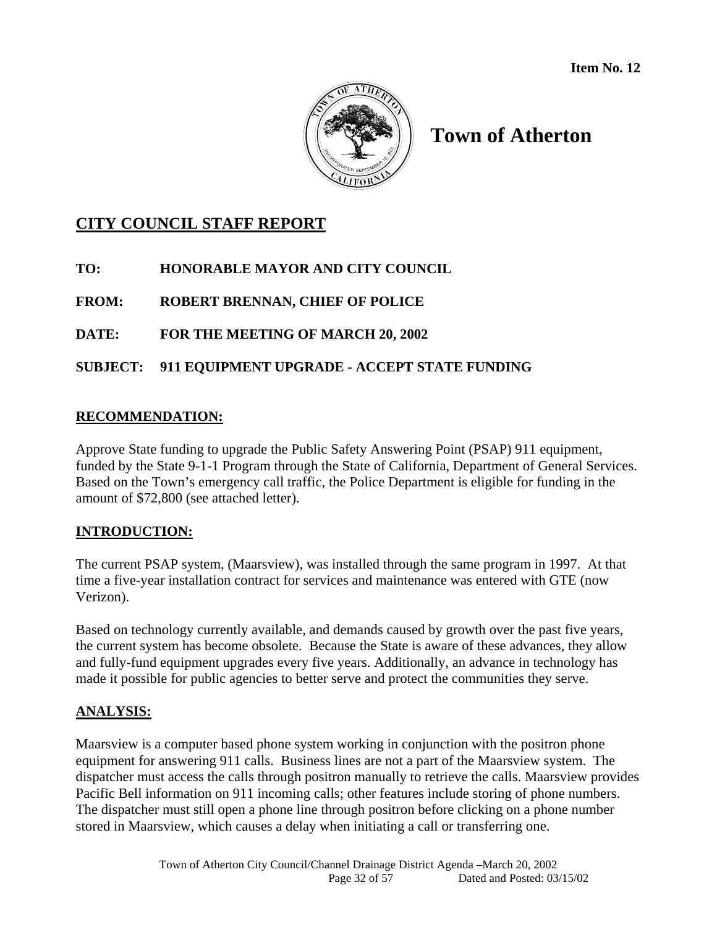

# **Town of Atherton**

# **CITY COUNCIL STAFF REPORT**

**TO: HONORABLE MAYOR AND CITY COUNCIL** 

**FROM: ROBERT BRENNAN, CHIEF OF POLICE** 

**DATE: FOR THE MEETING OF MARCH 20, 2002** 

## **SUBJECT: 911 EQUIPMENT UPGRADE - ACCEPT STATE FUNDING**

## **RECOMMENDATION:**

Approve State funding to upgrade the Public Safety Answering Point (PSAP) 911 equipment, funded by the State 9-1-1 Program through the State of California, Department of General Services. Based on the Town's emergency call traffic, the Police Department is eligible for funding in the amount of \$72,800 (see attached letter).

## **INTRODUCTION:**

The current PSAP system, (Maarsview), was installed through the same program in 1997. At that time a five-year installation contract for services and maintenance was entered with GTE (now Verizon).

Based on technology currently available, and demands caused by growth over the past five years, the current system has become obsolete. Because the State is aware of these advances, they allow and fully-fund equipment upgrades every five years. Additionally, an advance in technology has made it possible for public agencies to better serve and protect the communities they serve.

## **ANALYSIS:**

Maarsview is a computer based phone system working in conjunction with the positron phone equipment for answering 911 calls. Business lines are not a part of the Maarsview system. The dispatcher must access the calls through positron manually to retrieve the calls. Maarsview provides Pacific Bell information on 911 incoming calls; other features include storing of phone numbers. The dispatcher must still open a phone line through positron before clicking on a phone number stored in Maarsview, which causes a delay when initiating a call or transferring one.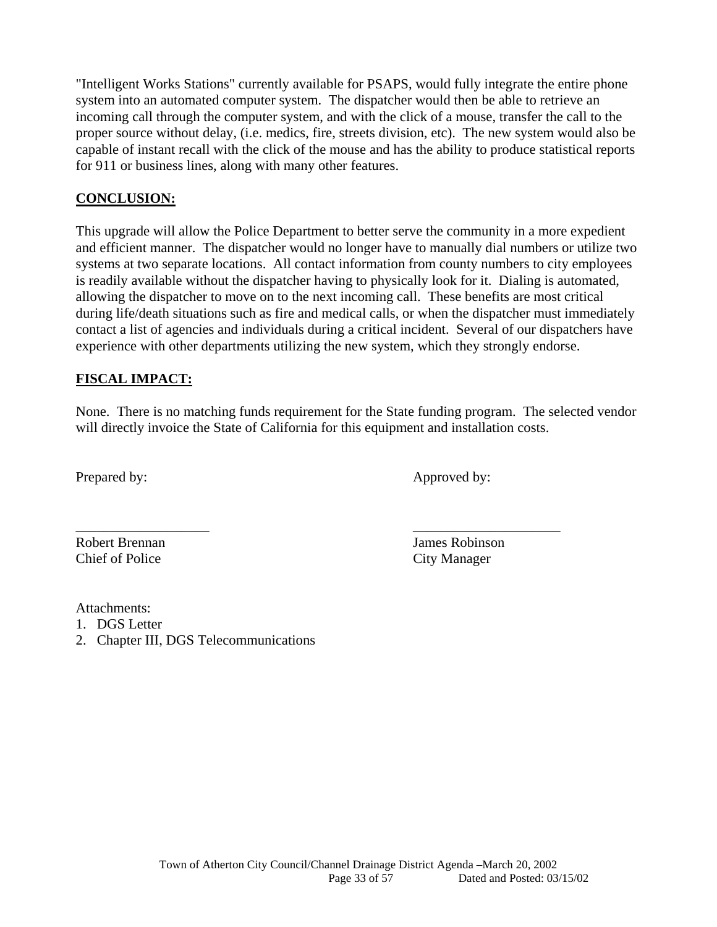"Intelligent Works Stations" currently available for PSAPS, would fully integrate the entire phone system into an automated computer system. The dispatcher would then be able to retrieve an incoming call through the computer system, and with the click of a mouse, transfer the call to the proper source without delay, (i.e. medics, fire, streets division, etc). The new system would also be capable of instant recall with the click of the mouse and has the ability to produce statistical reports for 911 or business lines, along with many other features.

## **CONCLUSION:**

This upgrade will allow the Police Department to better serve the community in a more expedient and efficient manner. The dispatcher would no longer have to manually dial numbers or utilize two systems at two separate locations. All contact information from county numbers to city employees is readily available without the dispatcher having to physically look for it. Dialing is automated, allowing the dispatcher to move on to the next incoming call. These benefits are most critical during life/death situations such as fire and medical calls, or when the dispatcher must immediately contact a list of agencies and individuals during a critical incident. Several of our dispatchers have experience with other departments utilizing the new system, which they strongly endorse.

## **FISCAL IMPACT:**

None. There is no matching funds requirement for the State funding program. The selected vendor will directly invoice the State of California for this equipment and installation costs.

\_\_\_\_\_\_\_\_\_\_\_\_\_\_\_\_\_\_\_ \_\_\_\_\_\_\_\_\_\_\_\_\_\_\_\_\_\_\_\_\_

Prepared by: Approved by:

Robert Brennan Valley and Tames Robinson Chief of Police City Manager

Attachments:

- 1. DGS Letter
- 2. Chapter III, DGS Telecommunications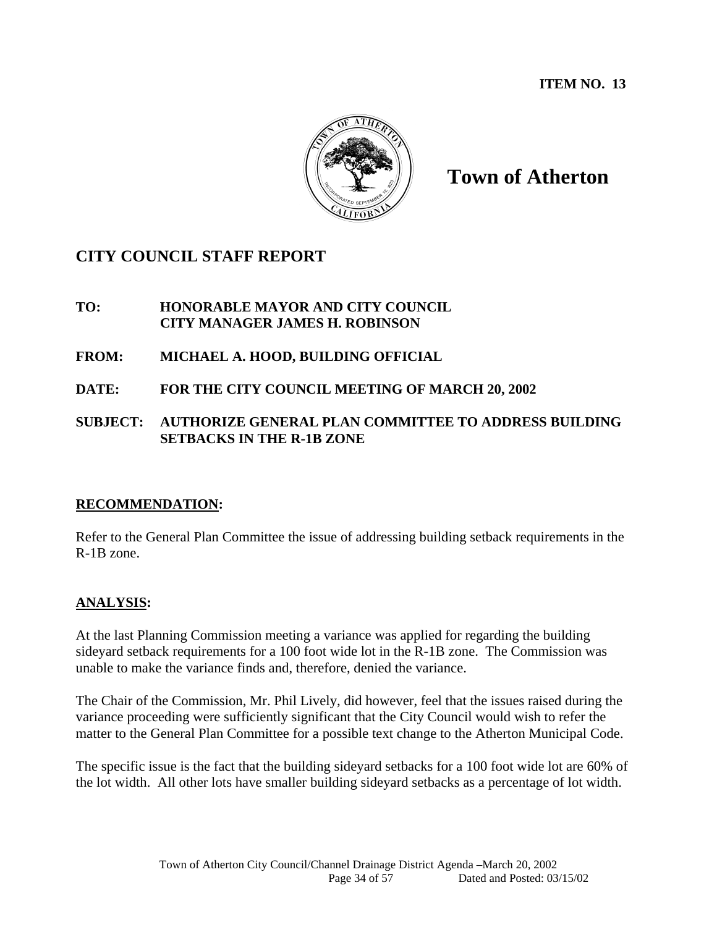**ITEM NO. 13** 



# **Town of Atherton**

# **CITY COUNCIL STAFF REPORT**

## **TO: HONORABLE MAYOR AND CITY COUNCIL CITY MANAGER JAMES H. ROBINSON**

## **FROM: MICHAEL A. HOOD, BUILDING OFFICIAL**

**DATE: FOR THE CITY COUNCIL MEETING OF MARCH 20, 2002** 

## **SUBJECT: AUTHORIZE GENERAL PLAN COMMITTEE TO ADDRESS BUILDING SETBACKS IN THE R-1B ZONE**

## **RECOMMENDATION:**

Refer to the General Plan Committee the issue of addressing building setback requirements in the R-1B zone.

## **ANALYSIS:**

At the last Planning Commission meeting a variance was applied for regarding the building sideyard setback requirements for a 100 foot wide lot in the R-1B zone. The Commission was unable to make the variance finds and, therefore, denied the variance.

The Chair of the Commission, Mr. Phil Lively, did however, feel that the issues raised during the variance proceeding were sufficiently significant that the City Council would wish to refer the matter to the General Plan Committee for a possible text change to the Atherton Municipal Code.

The specific issue is the fact that the building sideyard setbacks for a 100 foot wide lot are 60% of the lot width. All other lots have smaller building sideyard setbacks as a percentage of lot width.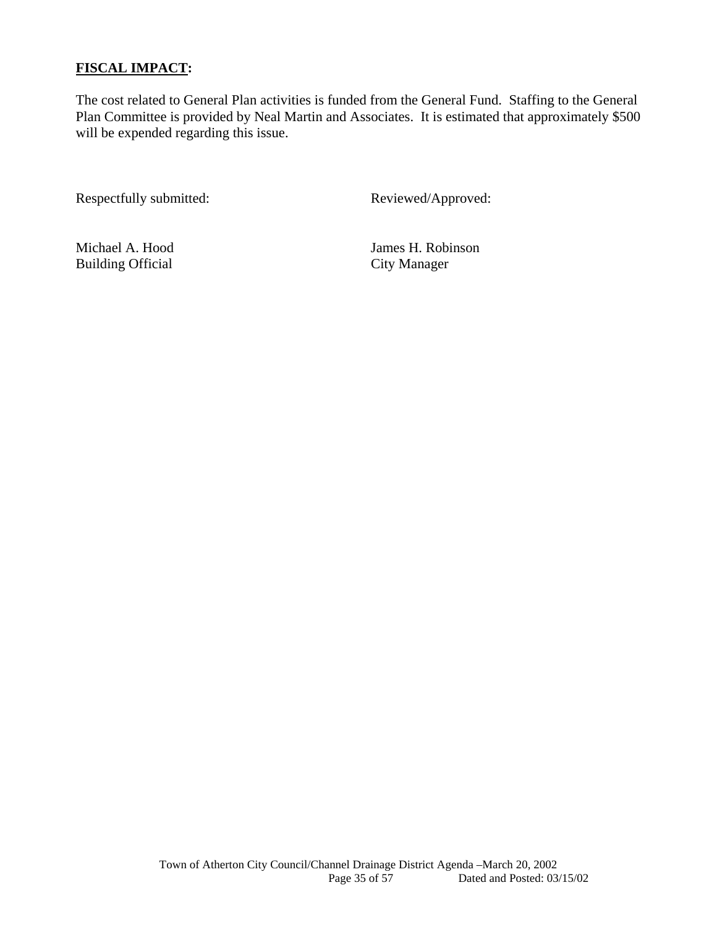## **FISCAL IMPACT:**

The cost related to General Plan activities is funded from the General Fund. Staffing to the General Plan Committee is provided by Neal Martin and Associates. It is estimated that approximately \$500 will be expended regarding this issue.

Respectfully submitted: Reviewed/Approved:

Building Official City Manager

Michael A. Hood James H. Robinson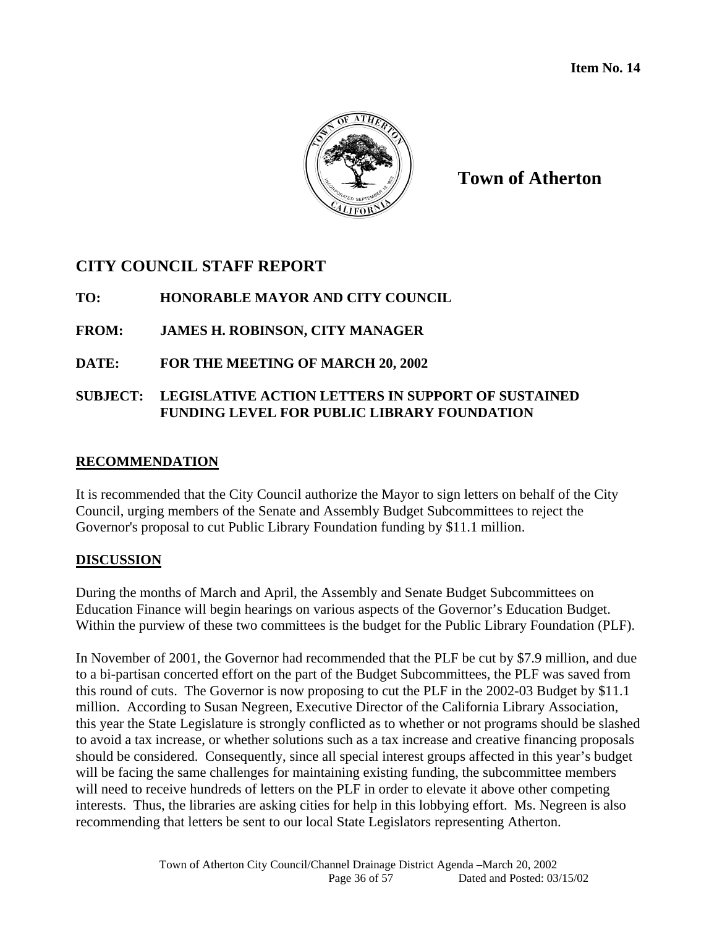

**Town of Atherton**

# **CITY COUNCIL STAFF REPORT**

## **TO: HONORABLE MAYOR AND CITY COUNCIL**

## **FROM: JAMES H. ROBINSON, CITY MANAGER**

## **DATE: FOR THE MEETING OF MARCH 20, 2002**

## **SUBJECT: LEGISLATIVE ACTION LETTERS IN SUPPORT OF SUSTAINED FUNDING LEVEL FOR PUBLIC LIBRARY FOUNDATION**

## **RECOMMENDATION**

It is recommended that the City Council authorize the Mayor to sign letters on behalf of the City Council, urging members of the Senate and Assembly Budget Subcommittees to reject the Governor's proposal to cut Public Library Foundation funding by \$11.1 million.

## **DISCUSSION**

During the months of March and April, the Assembly and Senate Budget Subcommittees on Education Finance will begin hearings on various aspects of the Governor's Education Budget. Within the purview of these two committees is the budget for the Public Library Foundation (PLF).

In November of 2001, the Governor had recommended that the PLF be cut by \$7.9 million, and due to a bi-partisan concerted effort on the part of the Budget Subcommittees, the PLF was saved from this round of cuts. The Governor is now proposing to cut the PLF in the 2002-03 Budget by \$11.1 million. According to Susan Negreen, Executive Director of the California Library Association, this year the State Legislature is strongly conflicted as to whether or not programs should be slashed to avoid a tax increase, or whether solutions such as a tax increase and creative financing proposals should be considered. Consequently, since all special interest groups affected in this year's budget will be facing the same challenges for maintaining existing funding, the subcommittee members will need to receive hundreds of letters on the PLF in order to elevate it above other competing interests. Thus, the libraries are asking cities for help in this lobbying effort. Ms. Negreen is also recommending that letters be sent to our local State Legislators representing Atherton.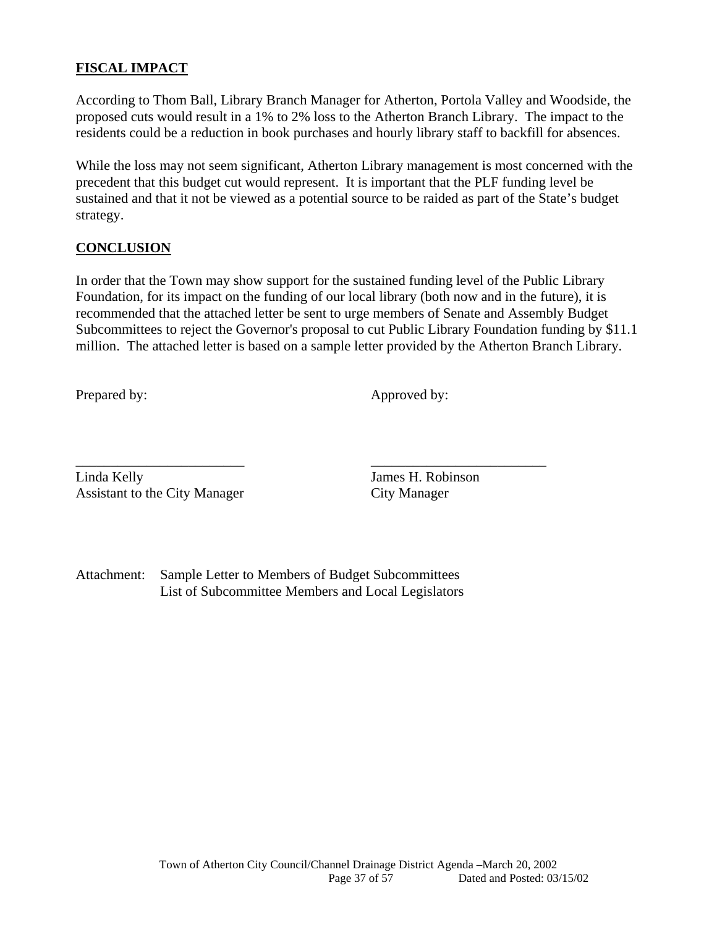## **FISCAL IMPACT**

According to Thom Ball, Library Branch Manager for Atherton, Portola Valley and Woodside, the proposed cuts would result in a 1% to 2% loss to the Atherton Branch Library. The impact to the residents could be a reduction in book purchases and hourly library staff to backfill for absences.

While the loss may not seem significant, Atherton Library management is most concerned with the precedent that this budget cut would represent. It is important that the PLF funding level be sustained and that it not be viewed as a potential source to be raided as part of the State's budget strategy.

#### **CONCLUSION**

In order that the Town may show support for the sustained funding level of the Public Library Foundation, for its impact on the funding of our local library (both now and in the future), it is recommended that the attached letter be sent to urge members of Senate and Assembly Budget Subcommittees to reject the Governor's proposal to cut Public Library Foundation funding by \$11.1 million. The attached letter is based on a sample letter provided by the Atherton Branch Library.

Prepared by: Approved by:

\_\_\_\_\_\_\_\_\_\_\_\_\_\_\_\_\_\_\_\_\_\_\_\_ \_\_\_\_\_\_\_\_\_\_\_\_\_\_\_\_\_\_\_\_\_\_\_\_\_ Linda Kelly James H. Robinson Assistant to the City Manager City Manager

Attachment: Sample Letter to Members of Budget Subcommittees List of Subcommittee Members and Local Legislators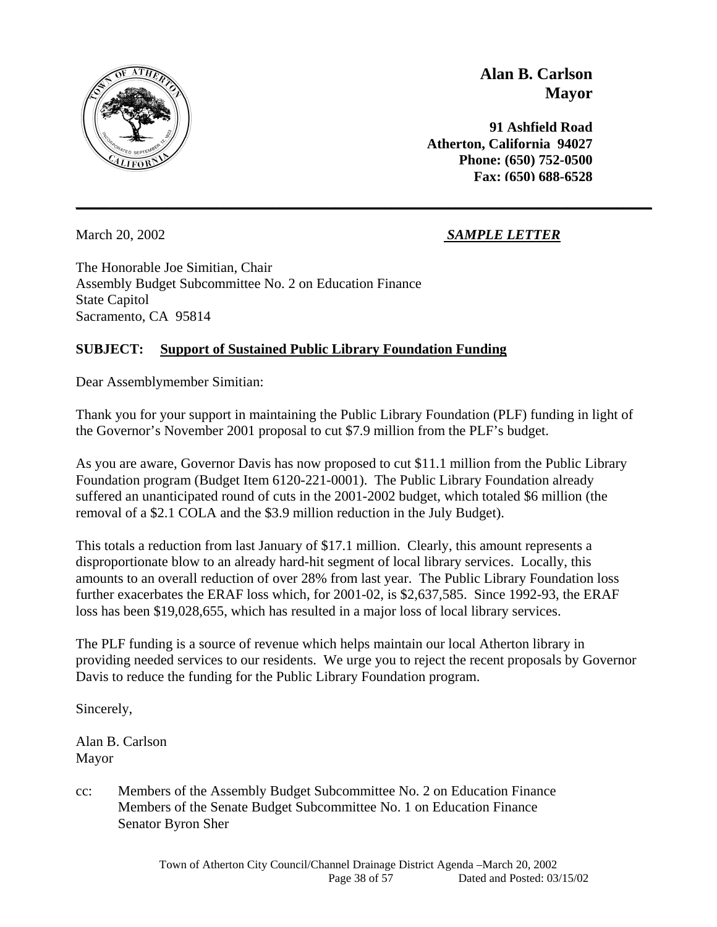

**Alan B. Carlson Mayor**

 **91 Ashfield Road Atherton, California 94027 Phone: (650) 752-0500 Fax: (650) 688-6528**

March 20, 2002 *SAMPLE LETTER*

The Honorable Joe Simitian, Chair Assembly Budget Subcommittee No. 2 on Education Finance State Capitol Sacramento, CA 95814

## **SUBJECT: Support of Sustained Public Library Foundation Funding**

Dear Assemblymember Simitian:

Thank you for your support in maintaining the Public Library Foundation (PLF) funding in light of the Governor's November 2001 proposal to cut \$7.9 million from the PLF's budget.

**\_\_\_\_\_\_\_\_\_\_\_\_\_\_\_\_\_\_\_\_\_\_\_\_\_\_\_\_\_\_\_\_\_\_\_\_\_\_\_\_\_\_\_\_\_\_\_\_\_\_\_\_\_\_\_\_\_\_\_\_\_\_\_\_\_\_\_\_\_\_\_\_\_\_\_\_\_\_\_\_\_\_**

As you are aware, Governor Davis has now proposed to cut \$11.1 million from the Public Library Foundation program (Budget Item 6120-221-0001). The Public Library Foundation already suffered an unanticipated round of cuts in the 2001-2002 budget, which totaled \$6 million (the removal of a \$2.1 COLA and the \$3.9 million reduction in the July Budget).

This totals a reduction from last January of \$17.1 million. Clearly, this amount represents a disproportionate blow to an already hard-hit segment of local library services. Locally, this amounts to an overall reduction of over 28% from last year. The Public Library Foundation loss further exacerbates the ERAF loss which, for 2001-02, is \$2,637,585. Since 1992-93, the ERAF loss has been \$19,028,655, which has resulted in a major loss of local library services.

The PLF funding is a source of revenue which helps maintain our local Atherton library in providing needed services to our residents. We urge you to reject the recent proposals by Governor Davis to reduce the funding for the Public Library Foundation program.

Sincerely,

Alan B. Carlson Mayor

cc: Members of the Assembly Budget Subcommittee No. 2 on Education Finance Members of the Senate Budget Subcommittee No. 1 on Education Finance Senator Byron Sher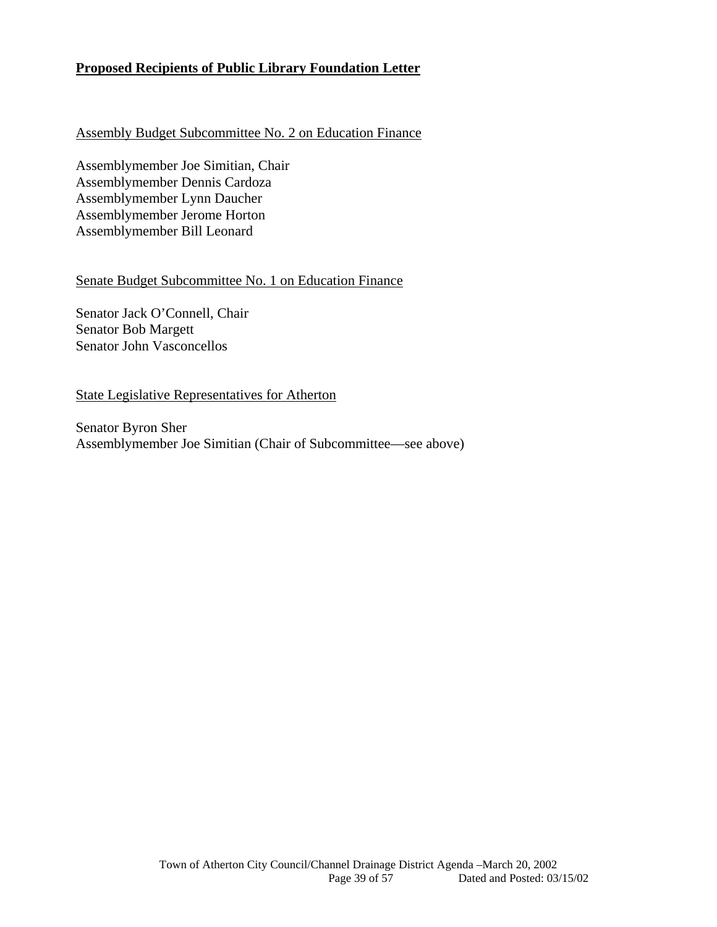## **Proposed Recipients of Public Library Foundation Letter**

#### Assembly Budget Subcommittee No. 2 on Education Finance

Assemblymember Joe Simitian, Chair Assemblymember Dennis Cardoza Assemblymember Lynn Daucher Assemblymember Jerome Horton Assemblymember Bill Leonard

#### Senate Budget Subcommittee No. 1 on Education Finance

Senator Jack O'Connell, Chair Senator Bob Margett Senator John Vasconcellos

#### State Legislative Representatives for Atherton

Senator Byron Sher Assemblymember Joe Simitian (Chair of Subcommittee—see above)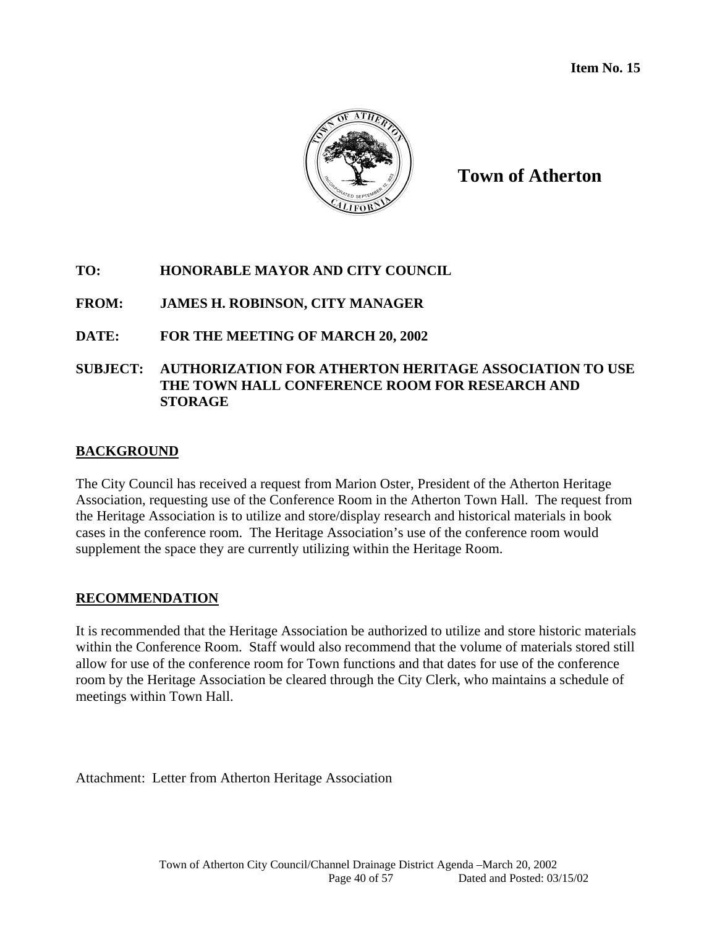

**Town of Atherton**

## **TO: HONORABLE MAYOR AND CITY COUNCIL**

**FROM: JAMES H. ROBINSON, CITY MANAGER** 

## **DATE: FOR THE MEETING OF MARCH 20, 2002**

## **SUBJECT: AUTHORIZATION FOR ATHERTON HERITAGE ASSOCIATION TO USE THE TOWN HALL CONFERENCE ROOM FOR RESEARCH AND STORAGE**

## **BACKGROUND**

The City Council has received a request from Marion Oster, President of the Atherton Heritage Association, requesting use of the Conference Room in the Atherton Town Hall. The request from the Heritage Association is to utilize and store/display research and historical materials in book cases in the conference room. The Heritage Association's use of the conference room would supplement the space they are currently utilizing within the Heritage Room.

## **RECOMMENDATION**

It is recommended that the Heritage Association be authorized to utilize and store historic materials within the Conference Room. Staff would also recommend that the volume of materials stored still allow for use of the conference room for Town functions and that dates for use of the conference room by the Heritage Association be cleared through the City Clerk, who maintains a schedule of meetings within Town Hall.

Attachment: Letter from Atherton Heritage Association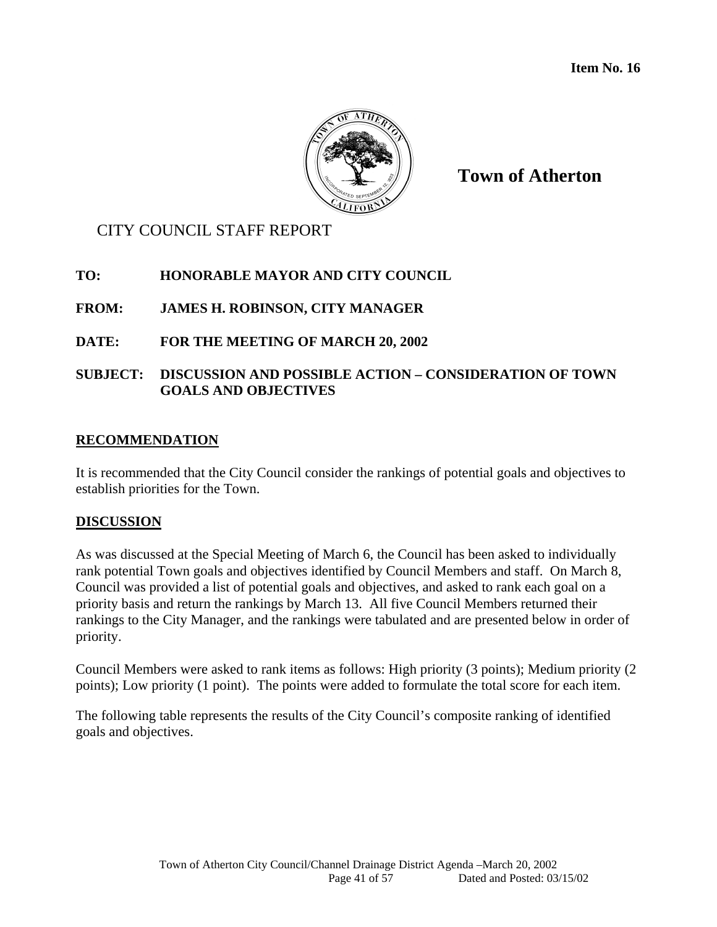

**Town of Atherton**

# CITY COUNCIL STAFF REPORT

## **TO: HONORABLE MAYOR AND CITY COUNCIL**

## **FROM: JAMES H. ROBINSON, CITY MANAGER**

## **DATE: FOR THE MEETING OF MARCH 20, 2002**

## **SUBJECT: DISCUSSION AND POSSIBLE ACTION – CONSIDERATION OF TOWN GOALS AND OBJECTIVES**

#### **RECOMMENDATION**

It is recommended that the City Council consider the rankings of potential goals and objectives to establish priorities for the Town.

#### **DISCUSSION**

As was discussed at the Special Meeting of March 6, the Council has been asked to individually rank potential Town goals and objectives identified by Council Members and staff. On March 8, Council was provided a list of potential goals and objectives, and asked to rank each goal on a priority basis and return the rankings by March 13. All five Council Members returned their rankings to the City Manager, and the rankings were tabulated and are presented below in order of priority.

Council Members were asked to rank items as follows: High priority (3 points); Medium priority (2 points); Low priority (1 point). The points were added to formulate the total score for each item.

The following table represents the results of the City Council's composite ranking of identified goals and objectives.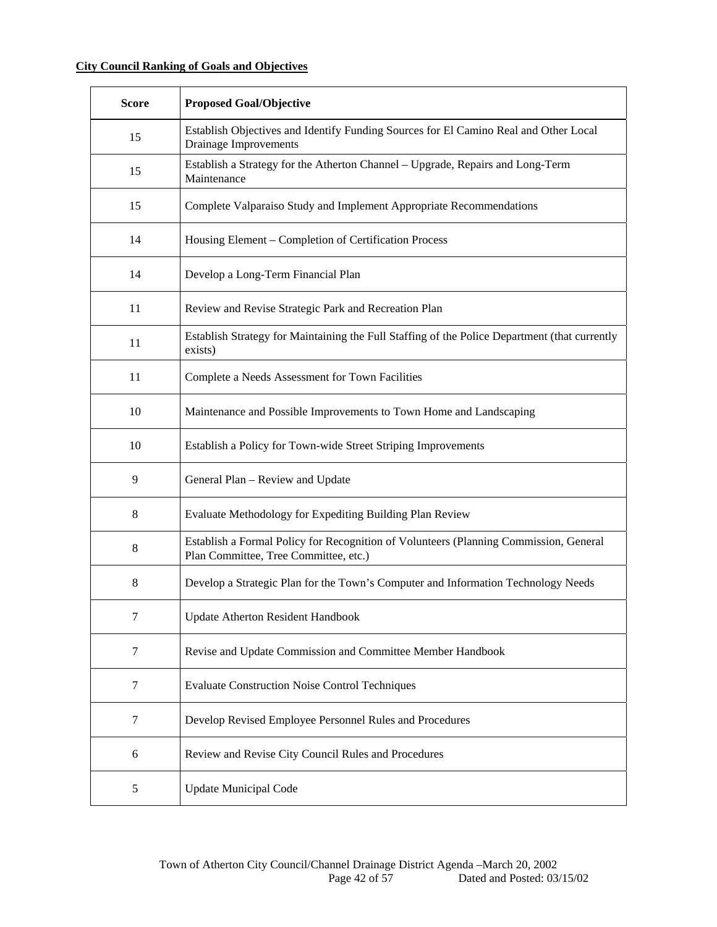## **City Council Ranking of Goals and Objectives**

| <b>Score</b> | <b>Proposed Goal/Objective</b>                                                                                                 |
|--------------|--------------------------------------------------------------------------------------------------------------------------------|
| 15           | Establish Objectives and Identify Funding Sources for El Camino Real and Other Local<br>Drainage Improvements                  |
| 15           | Establish a Strategy for the Atherton Channel - Upgrade, Repairs and Long-Term<br>Maintenance                                  |
| 15           | Complete Valparaiso Study and Implement Appropriate Recommendations                                                            |
| 14           | Housing Element – Completion of Certification Process                                                                          |
| 14           | Develop a Long-Term Financial Plan                                                                                             |
| 11           | Review and Revise Strategic Park and Recreation Plan                                                                           |
| 11           | Establish Strategy for Maintaining the Full Staffing of the Police Department (that currently<br>exists)                       |
| 11           | Complete a Needs Assessment for Town Facilities                                                                                |
| 10           | Maintenance and Possible Improvements to Town Home and Landscaping                                                             |
| 10           | Establish a Policy for Town-wide Street Striping Improvements                                                                  |
| 9            | General Plan - Review and Update                                                                                               |
| 8            | Evaluate Methodology for Expediting Building Plan Review                                                                       |
| 8            | Establish a Formal Policy for Recognition of Volunteers (Planning Commission, General<br>Plan Committee, Tree Committee, etc.) |
| 8            | Develop a Strategic Plan for the Town's Computer and Information Technology Needs                                              |
| 7            | <b>Update Atherton Resident Handbook</b>                                                                                       |
| 7            | Revise and Update Commission and Committee Member Handbook                                                                     |
| 7            | <b>Evaluate Construction Noise Control Techniques</b>                                                                          |
| 7            | Develop Revised Employee Personnel Rules and Procedures                                                                        |
| 6            | Review and Revise City Council Rules and Procedures                                                                            |
| 5            | <b>Update Municipal Code</b>                                                                                                   |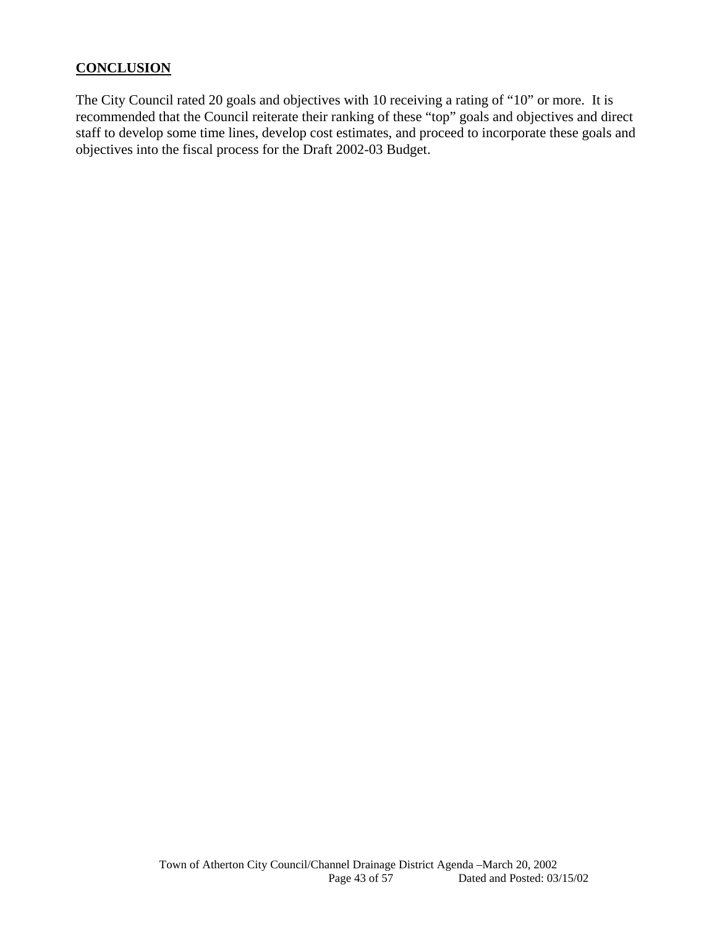## **CONCLUSION**

The City Council rated 20 goals and objectives with 10 receiving a rating of "10" or more. It is recommended that the Council reiterate their ranking of these "top" goals and objectives and direct staff to develop some time lines, develop cost estimates, and proceed to incorporate these goals and objectives into the fiscal process for the Draft 2002-03 Budget.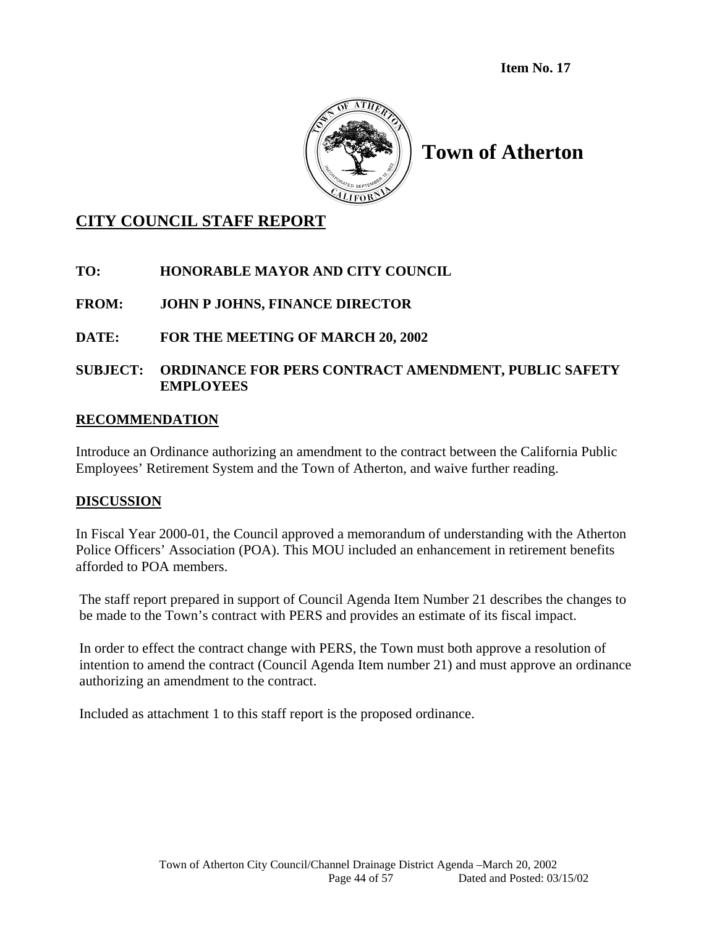**Item No. 17** 



# **Town of Atherton**

# **CITY COUNCIL STAFF REPORT**

**TO: HONORABLE MAYOR AND CITY COUNCIL** 

**FROM: JOHN P JOHNS, FINANCE DIRECTOR** 

**DATE: FOR THE MEETING OF MARCH 20, 2002** 

## **SUBJECT: ORDINANCE FOR PERS CONTRACT AMENDMENT, PUBLIC SAFETY EMPLOYEES**

## **RECOMMENDATION**

Introduce an Ordinance authorizing an amendment to the contract between the California Public Employees' Retirement System and the Town of Atherton, and waive further reading.

## **DISCUSSION**

In Fiscal Year 2000-01, the Council approved a memorandum of understanding with the Atherton Police Officers' Association (POA). This MOU included an enhancement in retirement benefits afforded to POA members.

The staff report prepared in support of Council Agenda Item Number 21 describes the changes to be made to the Town's contract with PERS and provides an estimate of its fiscal impact.

In order to effect the contract change with PERS, the Town must both approve a resolution of intention to amend the contract (Council Agenda Item number 21) and must approve an ordinance authorizing an amendment to the contract.

Included as attachment 1 to this staff report is the proposed ordinance.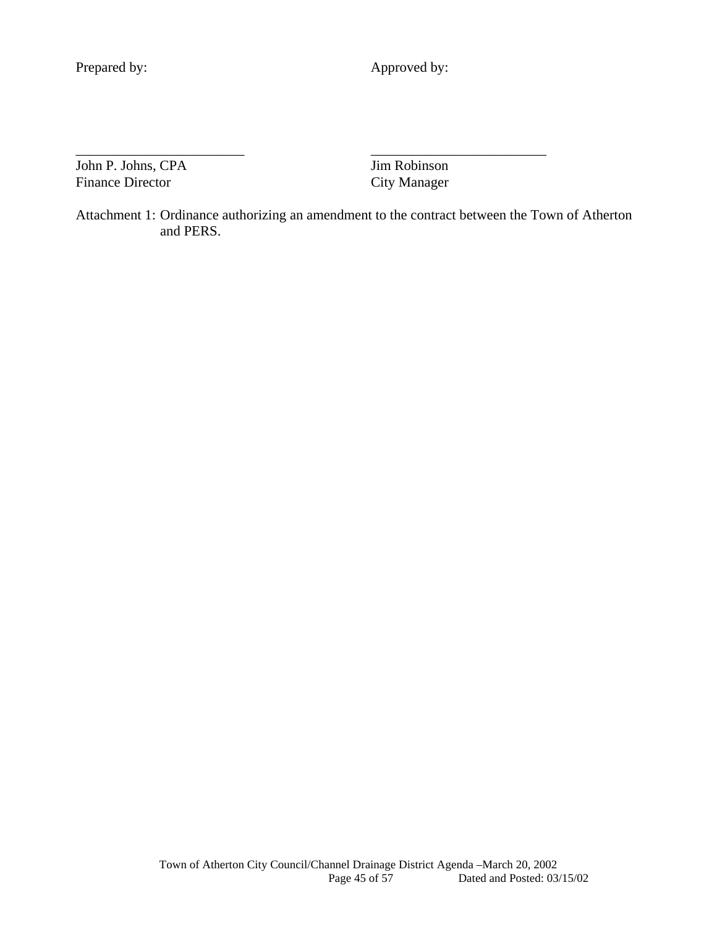Prepared by: Approved by:

John P. Johns, CPA Jim Robinson Finance Director City Manager

Attachment 1: Ordinance authorizing an amendment to the contract between the Town of Atherton and PERS.

\_\_\_\_\_\_\_\_\_\_\_\_\_\_\_\_\_\_\_\_\_\_\_\_ \_\_\_\_\_\_\_\_\_\_\_\_\_\_\_\_\_\_\_\_\_\_\_\_\_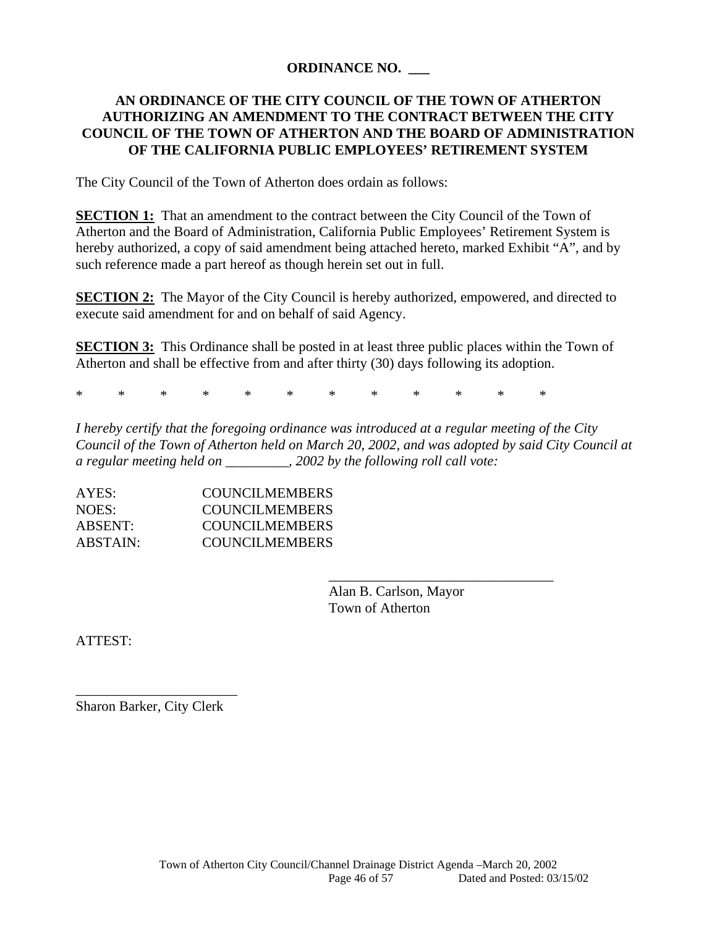## **ORDINANCE NO. \_\_\_**

## **AN ORDINANCE OF THE CITY COUNCIL OF THE TOWN OF ATHERTON AUTHORIZING AN AMENDMENT TO THE CONTRACT BETWEEN THE CITY COUNCIL OF THE TOWN OF ATHERTON AND THE BOARD OF ADMINISTRATION OF THE CALIFORNIA PUBLIC EMPLOYEES' RETIREMENT SYSTEM**

The City Council of the Town of Atherton does ordain as follows:

**SECTION 1:** That an amendment to the contract between the City Council of the Town of Atherton and the Board of Administration, California Public Employees' Retirement System is hereby authorized, a copy of said amendment being attached hereto, marked Exhibit "A", and by such reference made a part hereof as though herein set out in full.

**SECTION 2:** The Mayor of the City Council is hereby authorized, empowered, and directed to execute said amendment for and on behalf of said Agency.

**SECTION 3:** This Ordinance shall be posted in at least three public places within the Town of Atherton and shall be effective from and after thirty (30) days following its adoption.

\* \* \* \* \* \* \* \* \* \* \* \*

 $\overline{\phantom{a}}$  , and the contract of the contract of the contract of the contract of the contract of the contract of the contract of the contract of the contract of the contract of the contract of the contract of the contrac

*I hereby certify that the foregoing ordinance was introduced at a regular meeting of the City Council of the Town of Atherton held on March 20, 2002, and was adopted by said City Council at a regular meeting held on \_\_\_\_\_\_\_\_\_, 2002 by the following roll call vote:* 

| AYES:    | <b>COUNCILMEMBERS</b> |
|----------|-----------------------|
| NOES:    | COUNCILMEMBERS        |
| ABSENT:  | <b>COUNCILMEMBERS</b> |
| ABSTAIN: | COUNCILMEMBERS        |

 Alan B. Carlson, Mayor Town of Atherton

ATTEST:

Sharon Barker, City Clerk

\_\_\_\_\_\_\_\_\_\_\_\_\_\_\_\_\_\_\_\_\_\_\_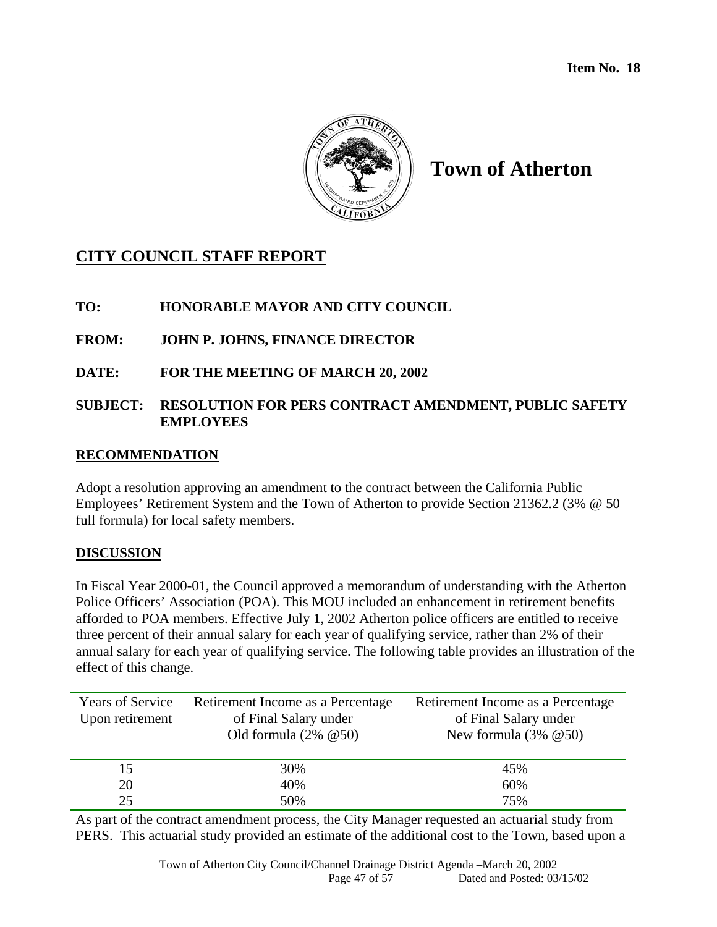

# **Town of Atherton**

# **CITY COUNCIL STAFF REPORT**

## **TO: HONORABLE MAYOR AND CITY COUNCIL**

## **FROM: JOHN P. JOHNS, FINANCE DIRECTOR**

**DATE: FOR THE MEETING OF MARCH 20, 2002** 

## **SUBJECT: RESOLUTION FOR PERS CONTRACT AMENDMENT, PUBLIC SAFETY EMPLOYEES**

## **RECOMMENDATION**

Adopt a resolution approving an amendment to the contract between the California Public Employees' Retirement System and the Town of Atherton to provide Section 21362.2 (3% @ 50 full formula) for local safety members.

## **DISCUSSION**

In Fiscal Year 2000-01, the Council approved a memorandum of understanding with the Atherton Police Officers' Association (POA). This MOU included an enhancement in retirement benefits afforded to POA members. Effective July 1, 2002 Atherton police officers are entitled to receive three percent of their annual salary for each year of qualifying service, rather than 2% of their annual salary for each year of qualifying service. The following table provides an illustration of the effect of this change.

| <b>Years of Service</b> | Retirement Income as a Percentage | Retirement Income as a Percentage |
|-------------------------|-----------------------------------|-----------------------------------|
| Upon retirement         | of Final Salary under             | of Final Salary under             |
|                         | Old formula $(2\% \ @ 50)$        | New formula $(3\% \ @ 50)$        |
|                         |                                   |                                   |
| 15                      | 30%                               | 45%                               |
| 20                      | 40%                               | 60%                               |
| 25                      | 50%                               | 75%                               |

As part of the contract amendment process, the City Manager requested an actuarial study from PERS. This actuarial study provided an estimate of the additional cost to the Town, based upon a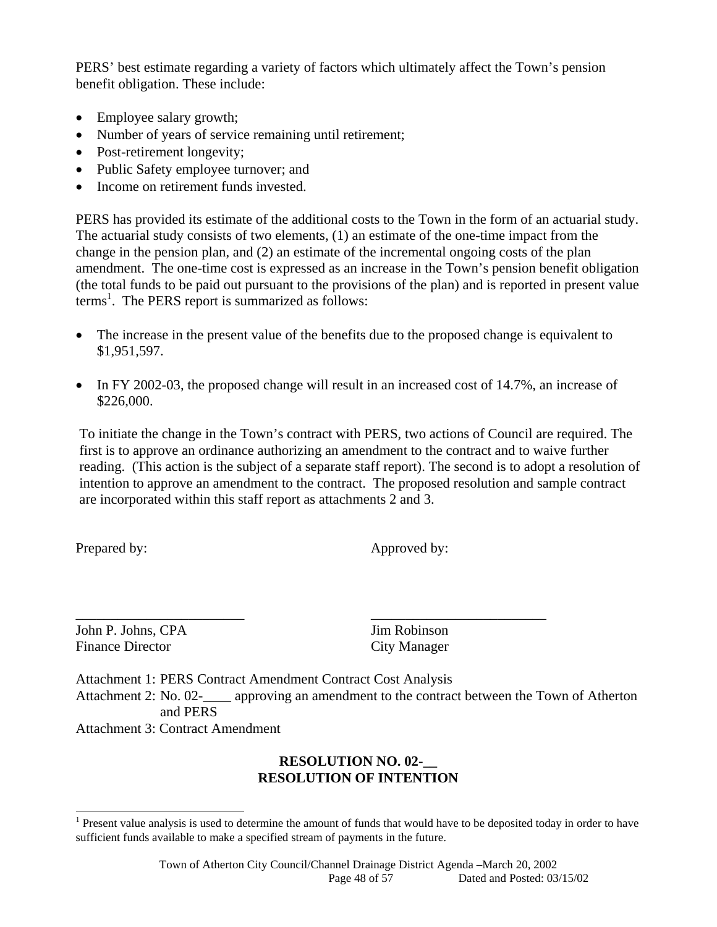PERS' best estimate regarding a variety of factors which ultimately affect the Town's pension benefit obligation. These include:

- Employee salary growth;
- Number of years of service remaining until retirement;
- Post-retirement longevity;
- Public Safety employee turnover; and
- Income on retirement funds invested.

PERS has provided its estimate of the additional costs to the Town in the form of an actuarial study. The actuarial study consists of two elements, (1) an estimate of the one-time impact from the change in the pension plan, and (2) an estimate of the incremental ongoing costs of the plan amendment. The one-time cost is expressed as an increase in the Town's pension benefit obligation (the total funds to be paid out pursuant to the provisions of the plan) and is reported in present value terms<sup>1</sup>. The PERS report is summarized as follows:

- The increase in the present value of the benefits due to the proposed change is equivalent to \$1,951,597.
- In FY 2002-03, the proposed change will result in an increased cost of 14.7%, an increase of \$226,000.

To initiate the change in the Town's contract with PERS, two actions of Council are required. The first is to approve an ordinance authorizing an amendment to the contract and to waive further reading. (This action is the subject of a separate staff report). The second is to adopt a resolution of intention to approve an amendment to the contract. The proposed resolution and sample contract are incorporated within this staff report as attachments 2 and 3.

l

Prepared by: Approved by:

John P. Johns, CPA Jim Robinson Finance Director City Manager

Attachment 1: PERS Contract Amendment Contract Cost Analysis Attachment 2: No. 02-\_\_\_\_ approving an amendment to the contract between the Town of Atherton and PERS

\_\_\_\_\_\_\_\_\_\_\_\_\_\_\_\_\_\_\_\_\_\_\_\_ \_\_\_\_\_\_\_\_\_\_\_\_\_\_\_\_\_\_\_\_\_\_\_\_\_

Attachment 3: Contract Amendment

## **RESOLUTION NO. 02-\_\_ RESOLUTION OF INTENTION**

 $<sup>1</sup>$  Present value analysis is used to determine the amount of funds that would have to be deposited today in order to have</sup> sufficient funds available to make a specified stream of payments in the future.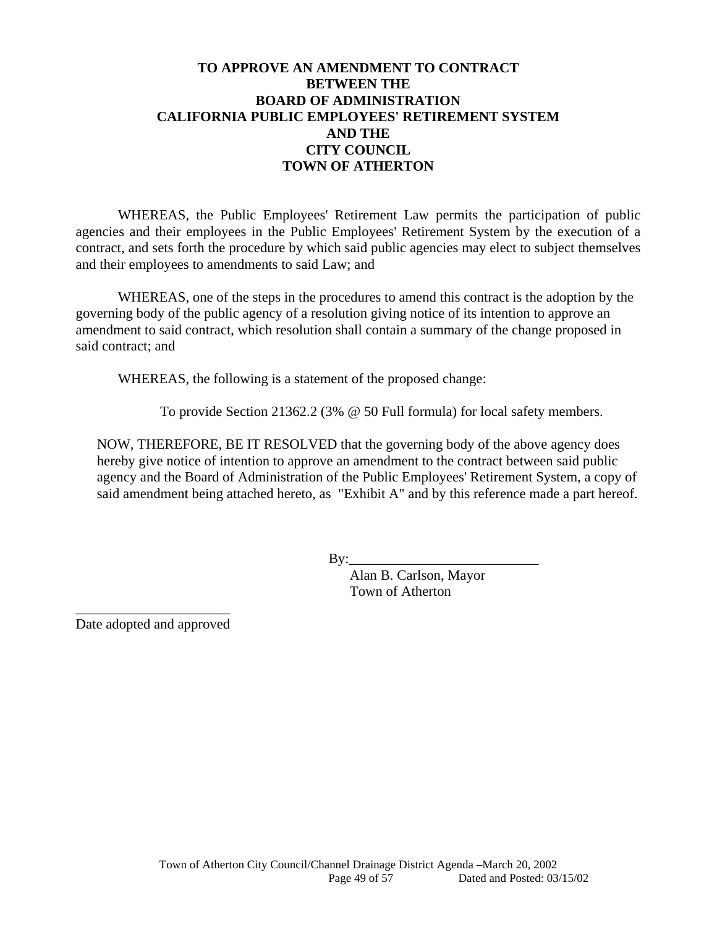## **TO APPROVE AN AMENDMENT TO CONTRACT BETWEEN THE BOARD OF ADMINISTRATION CALIFORNIA PUBLIC EMPLOYEES' RETIREMENT SYSTEM AND THE CITY COUNCIL TOWN OF ATHERTON**

WHEREAS, the Public Employees' Retirement Law permits the participation of public agencies and their employees in the Public Employees' Retirement System by the execution of a contract, and sets forth the procedure by which said public agencies may elect to subject themselves and their employees to amendments to said Law; and

WHEREAS, one of the steps in the procedures to amend this contract is the adoption by the governing body of the public agency of a resolution giving notice of its intention to approve an amendment to said contract, which resolution shall contain a summary of the change proposed in said contract; and

WHEREAS, the following is a statement of the proposed change:

To provide Section 21362.2 (3% @ 50 Full formula) for local safety members.

NOW, THEREFORE, BE IT RESOLVED that the governing body of the above agency does hereby give notice of intention to approve an amendment to the contract between said public agency and the Board of Administration of the Public Employees' Retirement System, a copy of said amendment being attached hereto, as "Exhibit A" and by this reference made a part hereof.

 $\mathbf{By:}$ 

 Alan B. Carlson, Mayor Town of Atherton

\_\_\_\_\_\_\_\_\_\_\_\_\_\_\_\_\_\_\_\_\_\_ Date adopted and approved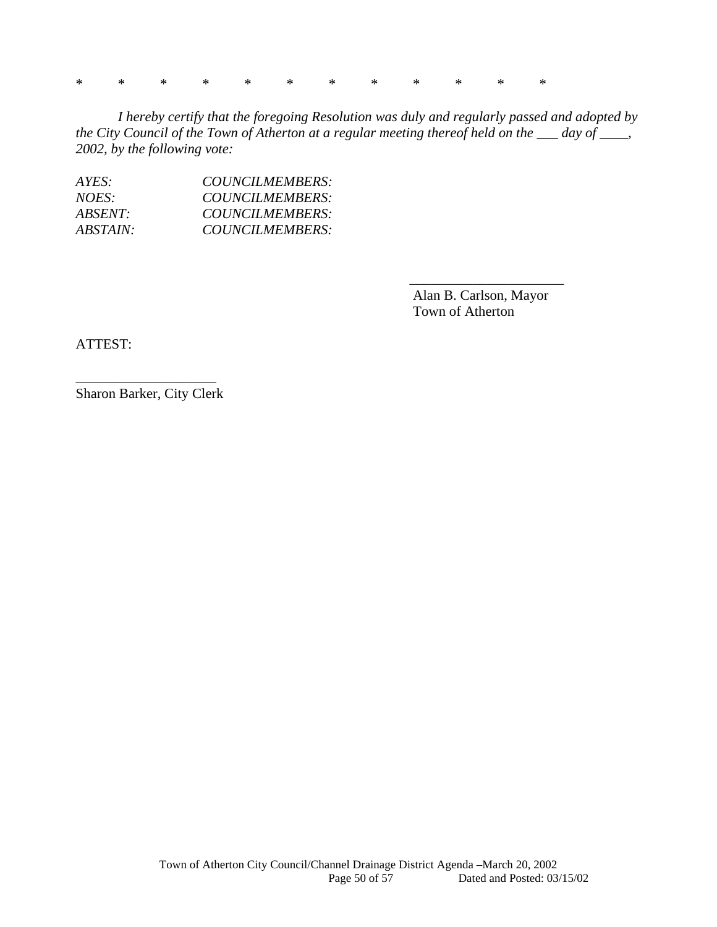\* \* \* \* \* \* \* \* \* \* \* \*

*I hereby certify that the foregoing Resolution was duly and regularly passed and adopted by the City Council of the Town of Atherton at a regular meeting thereof held on the \_\_\_ day of \_\_\_\_, 2002, by the following vote:* 

| A YES:   | COUNCILMEMBERS: |
|----------|-----------------|
| NOES:    | COUNCILMEMBERS: |
| ABSENT:  | COUNCILMEMBERS: |
| ABSTAIN: | COUNCILMEMBERS: |

 Alan B. Carlson, Mayor Town of Atherton

 $\overline{\phantom{a}}$  ,  $\overline{\phantom{a}}$  ,  $\overline{\phantom{a}}$  ,  $\overline{\phantom{a}}$  ,  $\overline{\phantom{a}}$  ,  $\overline{\phantom{a}}$  ,  $\overline{\phantom{a}}$  ,  $\overline{\phantom{a}}$  ,  $\overline{\phantom{a}}$  ,  $\overline{\phantom{a}}$  ,  $\overline{\phantom{a}}$  ,  $\overline{\phantom{a}}$  ,  $\overline{\phantom{a}}$  ,  $\overline{\phantom{a}}$  ,  $\overline{\phantom{a}}$  ,  $\overline{\phantom{a}}$ 

ATTEST:

\_\_\_\_\_\_\_\_\_\_\_\_\_\_\_\_\_\_\_\_ Sharon Barker, City Clerk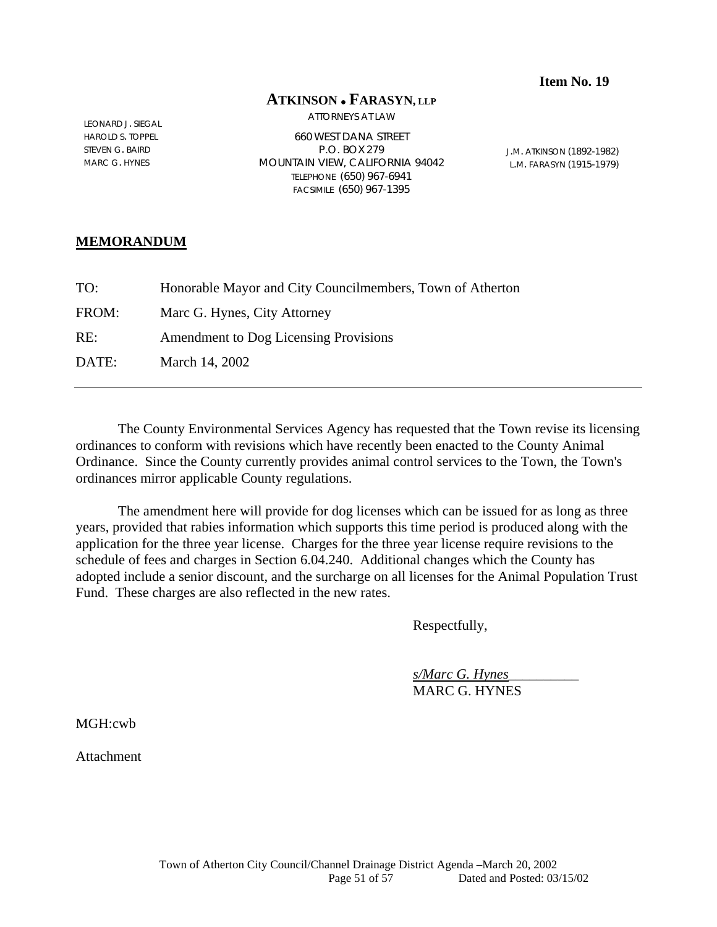#### **Item No. 19**

#### **ATKINSON FARASYN, LLP**

ATTORNEYS AT LAW

LEONARD J. SIEGAL HAROLD S. TOPPEL STEVEN G. BAIRD MARC G. HYNES

660 WEST DANA STREET P.O. BOX 279 MOUNTAIN VIEW, CALIFORNIA 94042 TELEPHONE (650) 967-6941 FACSIMILE (650) 967-1395

J.M. ATKINSON (1892-1982) L.M. FARASYN (1915-1979)

#### **MEMORANDUM**

| TO:   | Honorable Mayor and City Councilmembers, Town of Atherton |
|-------|-----------------------------------------------------------|
| FROM: | Marc G. Hynes, City Attorney                              |
| RE:   | Amendment to Dog Licensing Provisions                     |
| DATE: | March 14, 2002                                            |
|       |                                                           |

The County Environmental Services Agency has requested that the Town revise its licensing ordinances to conform with revisions which have recently been enacted to the County Animal Ordinance. Since the County currently provides animal control services to the Town, the Town's ordinances mirror applicable County regulations.

 The amendment here will provide for dog licenses which can be issued for as long as three years, provided that rabies information which supports this time period is produced along with the application for the three year license. Charges for the three year license require revisions to the schedule of fees and charges in Section 6.04.240. Additional changes which the County has adopted include a senior discount, and the surcharge on all licenses for the Animal Population Trust Fund. These charges are also reflected in the new rates.

Respectfully,

 *s/Marc G. Hynes*\_\_\_\_\_\_\_\_\_\_ MARC G. HYNES

MGH:cwb

**Attachment**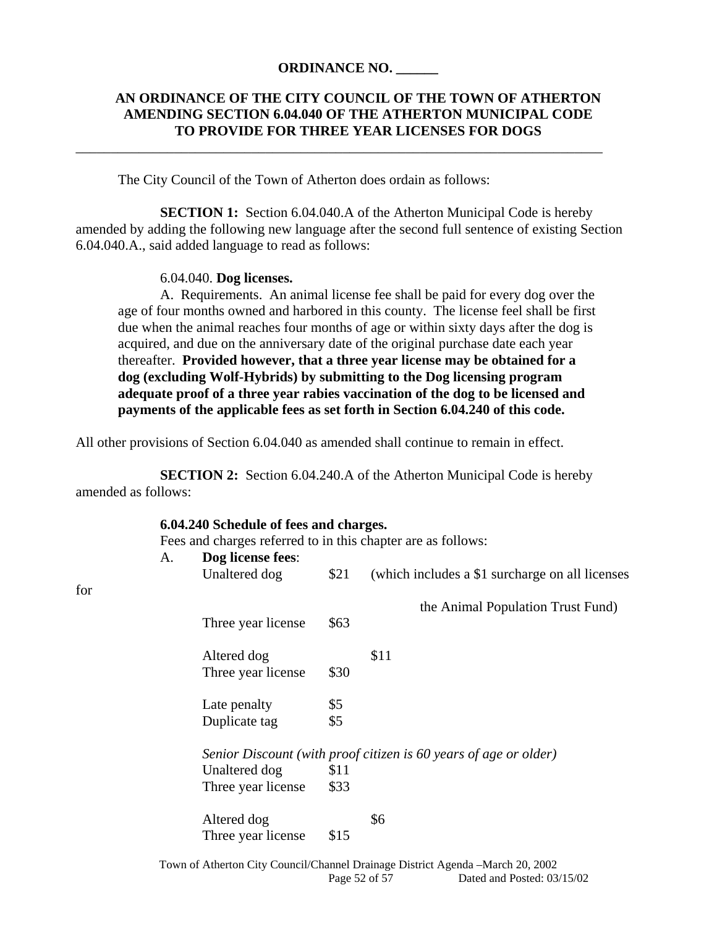#### **ORDINANCE NO. \_\_\_\_\_\_**

\_\_\_\_\_\_\_\_\_\_\_\_\_\_\_\_\_\_\_\_\_\_\_\_\_\_\_\_\_\_\_\_\_\_\_\_\_\_\_\_\_\_\_\_\_\_\_\_\_\_\_\_\_\_\_\_\_\_\_\_\_\_\_\_\_\_\_\_\_\_\_\_\_\_\_

#### **AN ORDINANCE OF THE CITY COUNCIL OF THE TOWN OF ATHERTON AMENDING SECTION 6.04.040 OF THE ATHERTON MUNICIPAL CODE TO PROVIDE FOR THREE YEAR LICENSES FOR DOGS**

The City Council of the Town of Atherton does ordain as follows:

**SECTION 1:** Section 6.04.040.A of the Atherton Municipal Code is hereby amended by adding the following new language after the second full sentence of existing Section 6.04.040.A., said added language to read as follows:

#### 6.04.040. **Dog licenses.**

for

 A. Requirements. An animal license fee shall be paid for every dog over the age of four months owned and harbored in this county. The license feel shall be first due when the animal reaches four months of age or within sixty days after the dog is acquired, and due on the anniversary date of the original purchase date each year thereafter. **Provided however, that a three year license may be obtained for a dog (excluding Wolf-Hybrids) by submitting to the Dog licensing program adequate proof of a three year rabies vaccination of the dog to be licensed and payments of the applicable fees as set forth in Section 6.04.240 of this code.** 

All other provisions of Section 6.04.040 as amended shall continue to remain in effect.

**SECTION 2:** Section 6.04.240.A of the Atherton Municipal Code is hereby amended as follows:

|     |    | 6.04.240 Schedule of fees and charges. |      |                                                                  |
|-----|----|----------------------------------------|------|------------------------------------------------------------------|
|     |    |                                        |      | Fees and charges referred to in this chapter are as follows:     |
|     | A. | Dog license fees:                      |      |                                                                  |
|     |    | Unaltered dog                          | \$21 | (which includes a \$1 surcharge on all licenses)                 |
| for |    |                                        |      |                                                                  |
|     |    |                                        |      | the Animal Population Trust Fund)                                |
|     |    | Three year license                     | \$63 |                                                                  |
|     |    |                                        |      |                                                                  |
|     |    | Altered dog                            |      | \$11                                                             |
|     |    | Three year license                     | \$30 |                                                                  |
|     |    |                                        |      |                                                                  |
|     |    | Late penalty                           | \$5  |                                                                  |
|     |    | Duplicate tag                          | \$5  |                                                                  |
|     |    |                                        |      |                                                                  |
|     |    |                                        |      | Senior Discount (with proof citizen is 60 years of age or older) |
|     |    | Unaltered dog                          | \$11 |                                                                  |
|     |    | Three year license                     | \$33 |                                                                  |
|     |    |                                        |      |                                                                  |
|     |    | Altered dog                            |      | \$6                                                              |
|     |    | Three year license                     | \$15 |                                                                  |
|     |    |                                        |      |                                                                  |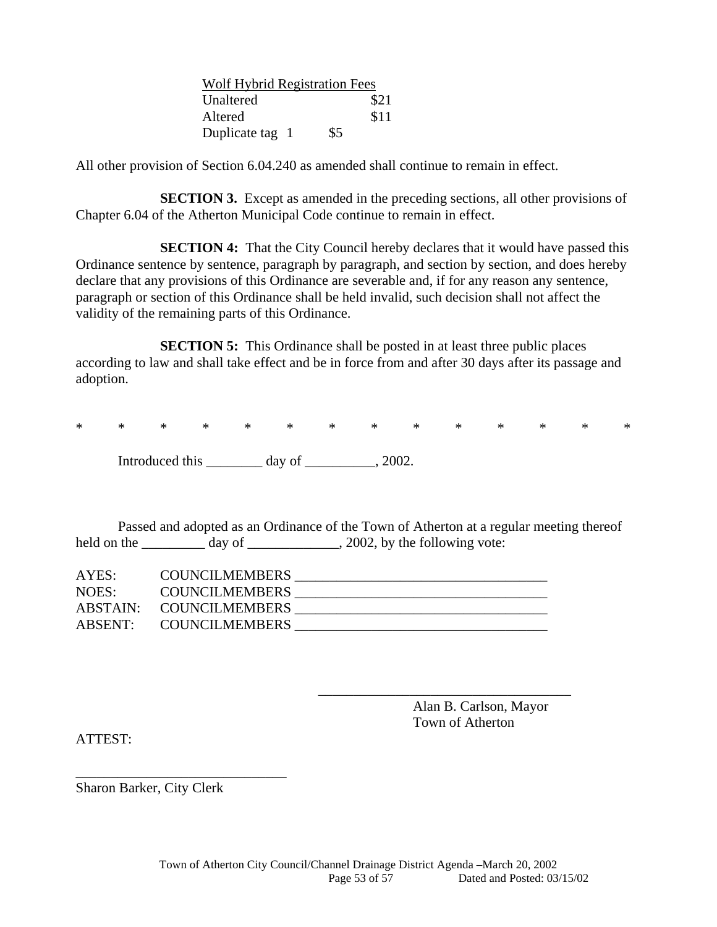|                 | Wolf Hybrid Registration Fees |  |  |
|-----------------|-------------------------------|--|--|
| Unaltered       | \$21                          |  |  |
| Altered         | \$11                          |  |  |
| Duplicate tag 1 | \$5                           |  |  |

All other provision of Section 6.04.240 as amended shall continue to remain in effect.

**SECTION 3.** Except as amended in the preceding sections, all other provisions of Chapter 6.04 of the Atherton Municipal Code continue to remain in effect.

**SECTION 4:** That the City Council hereby declares that it would have passed this Ordinance sentence by sentence, paragraph by paragraph, and section by section, and does hereby declare that any provisions of this Ordinance are severable and, if for any reason any sentence, paragraph or section of this Ordinance shall be held invalid, such decision shall not affect the validity of the remaining parts of this Ordinance.

**SECTION 5:** This Ordinance shall be posted in at least three public places according to law and shall take effect and be in force from and after 30 days after its passage and adoption.

\* \* \* \* \* \* \* \* \* \* \* \* \* \*

Introduced this day of 3002.

 Passed and adopted as an Ordinance of the Town of Atherton at a regular meeting thereof held on the \_\_\_\_\_\_\_\_\_\_ day of \_\_\_\_\_\_\_\_\_\_\_\_, 2002, by the following vote:

| AYES: | <b>COUNCILMEMBERS</b>   |  |
|-------|-------------------------|--|
| NOES: | <b>COUNCILMEMBERS</b>   |  |
|       | ABSTAIN: COUNCILMEMBERS |  |
|       | ABSENT: COUNCILMEMBERS  |  |

 $\overline{\phantom{a}}$  ,  $\overline{\phantom{a}}$  ,  $\overline{\phantom{a}}$  ,  $\overline{\phantom{a}}$  ,  $\overline{\phantom{a}}$  ,  $\overline{\phantom{a}}$  ,  $\overline{\phantom{a}}$  ,  $\overline{\phantom{a}}$  ,  $\overline{\phantom{a}}$  ,  $\overline{\phantom{a}}$  ,  $\overline{\phantom{a}}$  ,  $\overline{\phantom{a}}$  ,  $\overline{\phantom{a}}$  ,  $\overline{\phantom{a}}$  ,  $\overline{\phantom{a}}$  ,  $\overline{\phantom{a}}$ 

 Alan B. Carlson, Mayor Town of Atherton

ATTEST:

Sharon Barker, City Clerk

\_\_\_\_\_\_\_\_\_\_\_\_\_\_\_\_\_\_\_\_\_\_\_\_\_\_\_\_\_\_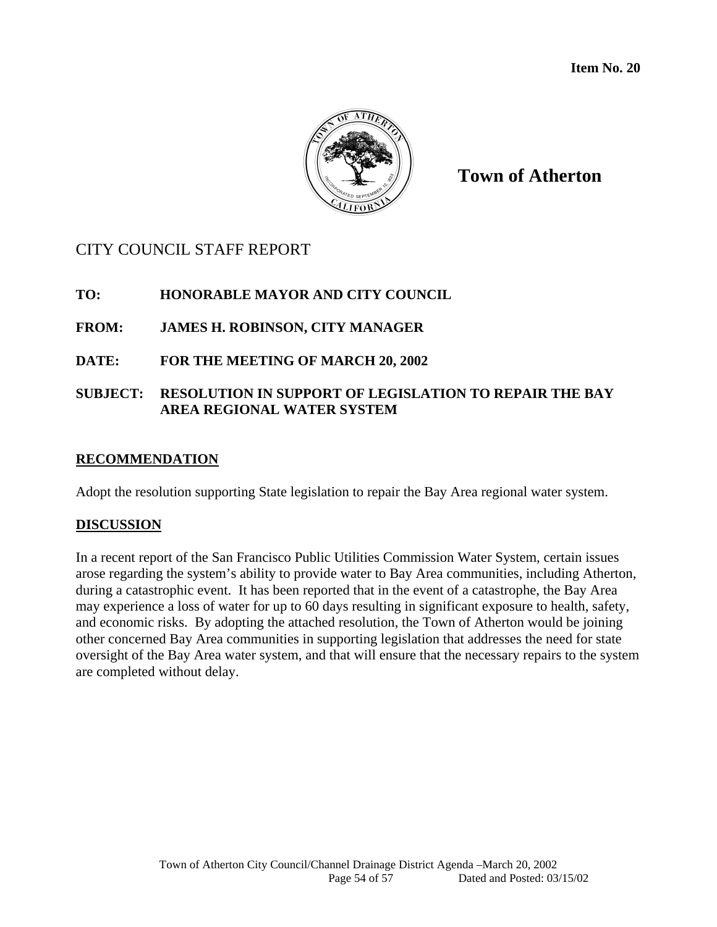

**Town of Atherton**

# CITY COUNCIL STAFF REPORT

## **TO: HONORABLE MAYOR AND CITY COUNCIL**

## **FROM: JAMES H. ROBINSON, CITY MANAGER**

## **DATE: FOR THE MEETING OF MARCH 20, 2002**

## **SUBJECT: RESOLUTION IN SUPPORT OF LEGISLATION TO REPAIR THE BAY AREA REGIONAL WATER SYSTEM**

#### **RECOMMENDATION**

Adopt the resolution supporting State legislation to repair the Bay Area regional water system.

## **DISCUSSION**

In a recent report of the San Francisco Public Utilities Commission Water System, certain issues arose regarding the system's ability to provide water to Bay Area communities, including Atherton, during a catastrophic event. It has been reported that in the event of a catastrophe, the Bay Area may experience a loss of water for up to 60 days resulting in significant exposure to health, safety, and economic risks. By adopting the attached resolution, the Town of Atherton would be joining other concerned Bay Area communities in supporting legislation that addresses the need for state oversight of the Bay Area water system, and that will ensure that the necessary repairs to the system are completed without delay.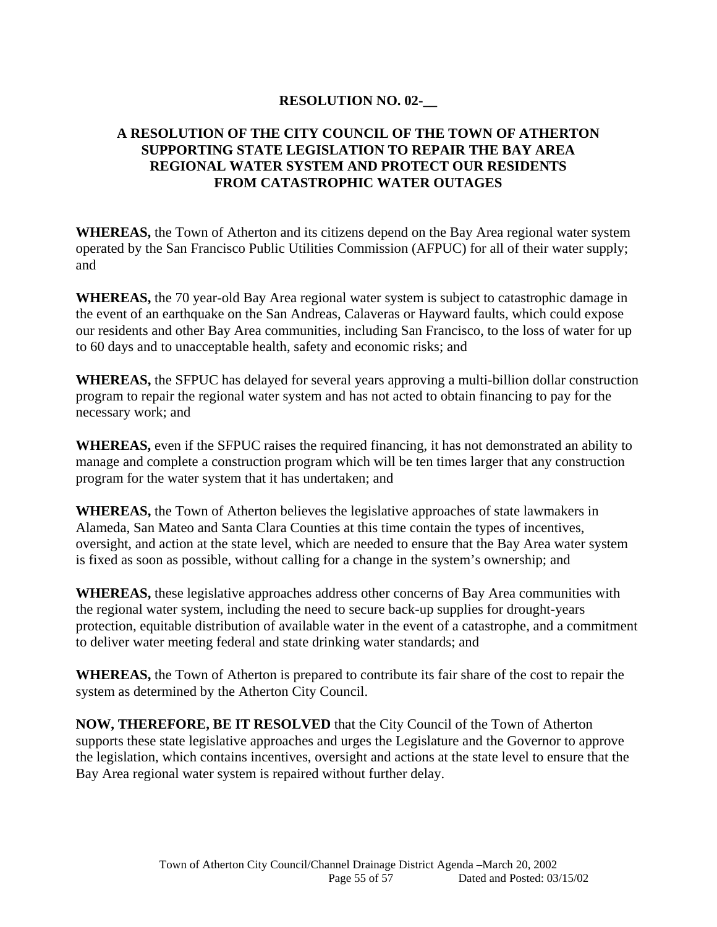## **RESOLUTION NO. 02-\_\_**

## **A RESOLUTION OF THE CITY COUNCIL OF THE TOWN OF ATHERTON SUPPORTING STATE LEGISLATION TO REPAIR THE BAY AREA REGIONAL WATER SYSTEM AND PROTECT OUR RESIDENTS FROM CATASTROPHIC WATER OUTAGES**

**WHEREAS,** the Town of Atherton and its citizens depend on the Bay Area regional water system operated by the San Francisco Public Utilities Commission (AFPUC) for all of their water supply; and

**WHEREAS,** the 70 year-old Bay Area regional water system is subject to catastrophic damage in the event of an earthquake on the San Andreas, Calaveras or Hayward faults, which could expose our residents and other Bay Area communities, including San Francisco, to the loss of water for up to 60 days and to unacceptable health, safety and economic risks; and

**WHEREAS,** the SFPUC has delayed for several years approving a multi-billion dollar construction program to repair the regional water system and has not acted to obtain financing to pay for the necessary work; and

**WHEREAS,** even if the SFPUC raises the required financing, it has not demonstrated an ability to manage and complete a construction program which will be ten times larger that any construction program for the water system that it has undertaken; and

**WHEREAS,** the Town of Atherton believes the legislative approaches of state lawmakers in Alameda, San Mateo and Santa Clara Counties at this time contain the types of incentives, oversight, and action at the state level, which are needed to ensure that the Bay Area water system is fixed as soon as possible, without calling for a change in the system's ownership; and

**WHEREAS,** these legislative approaches address other concerns of Bay Area communities with the regional water system, including the need to secure back-up supplies for drought-years protection, equitable distribution of available water in the event of a catastrophe, and a commitment to deliver water meeting federal and state drinking water standards; and

**WHEREAS,** the Town of Atherton is prepared to contribute its fair share of the cost to repair the system as determined by the Atherton City Council.

**NOW, THEREFORE, BE IT RESOLVED** that the City Council of the Town of Atherton supports these state legislative approaches and urges the Legislature and the Governor to approve the legislation, which contains incentives, oversight and actions at the state level to ensure that the Bay Area regional water system is repaired without further delay.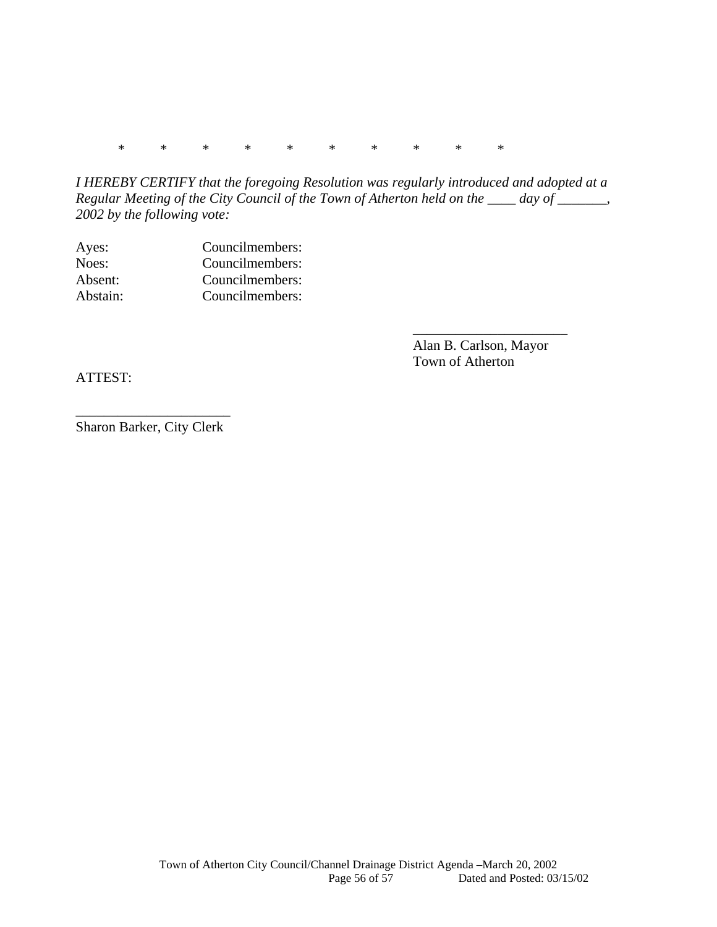\* \* \* \* \* \* \* \* \* \*

*I HEREBY CERTIFY that the foregoing Resolution was regularly introduced and adopted at a Regular Meeting of the City Council of the Town of Atherton held on the \_\_\_\_ day of \_\_\_\_\_\_\_, 2002 by the following vote:* 

 $\overline{\phantom{a}}$  , and the contract of the contract of the contract of the contract of the contract of the contract of the contract of the contract of the contract of the contract of the contract of the contract of the contrac

| Ayes:    | Councilmembers: |
|----------|-----------------|
| Noes:    | Councilmembers: |
| Absent:  | Councilmembers: |
| Abstain: | Councilmembers: |

 Alan B. Carlson, Mayor Town of Atherton

ATTEST:

\_\_\_\_\_\_\_\_\_\_\_\_\_\_\_\_\_\_\_\_\_\_ Sharon Barker, City Clerk